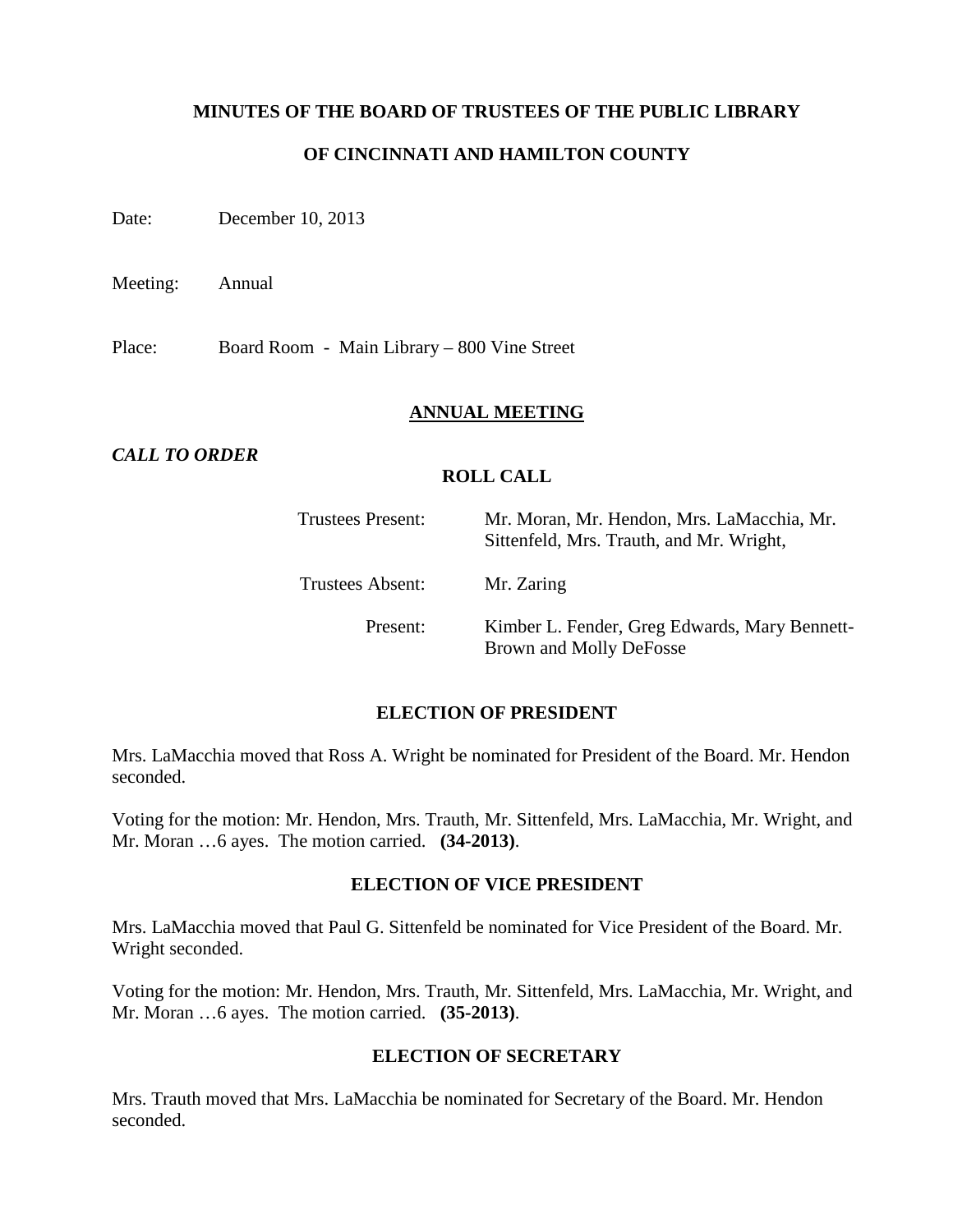## **MINUTES OF THE BOARD OF TRUSTEES OF THE PUBLIC LIBRARY**

# **OF CINCINNATI AND HAMILTON COUNTY**

Date: December 10, 2013

Meeting: Annual

Place: Board Room - Main Library – 800 Vine Street

### **ANNUAL MEETING**

*CALL TO ORDER*

### **ROLL CALL**

| Trustees Present: | Mr. Moran, Mr. Hendon, Mrs. LaMacchia, Mr.<br>Sittenfeld, Mrs. Trauth, and Mr. Wright, |
|-------------------|----------------------------------------------------------------------------------------|
| Trustees Absent:  | Mr. Zaring                                                                             |
| Present:          | Kimber L. Fender, Greg Edwards, Mary Bennett-<br>Brown and Molly DeFosse               |

### **ELECTION OF PRESIDENT**

Mrs. LaMacchia moved that Ross A. Wright be nominated for President of the Board. Mr. Hendon seconded.

Voting for the motion: Mr. Hendon, Mrs. Trauth, Mr. Sittenfeld, Mrs. LaMacchia, Mr. Wright, and Mr. Moran …6 ayes. The motion carried. **(34-2013)**.

### **ELECTION OF VICE PRESIDENT**

Mrs. LaMacchia moved that Paul G. Sittenfeld be nominated for Vice President of the Board. Mr. Wright seconded.

Voting for the motion: Mr. Hendon, Mrs. Trauth, Mr. Sittenfeld, Mrs. LaMacchia, Mr. Wright, and Mr. Moran …6 ayes. The motion carried. **(35-2013)**.

### **ELECTION OF SECRETARY**

Mrs. Trauth moved that Mrs. LaMacchia be nominated for Secretary of the Board. Mr. Hendon seconded.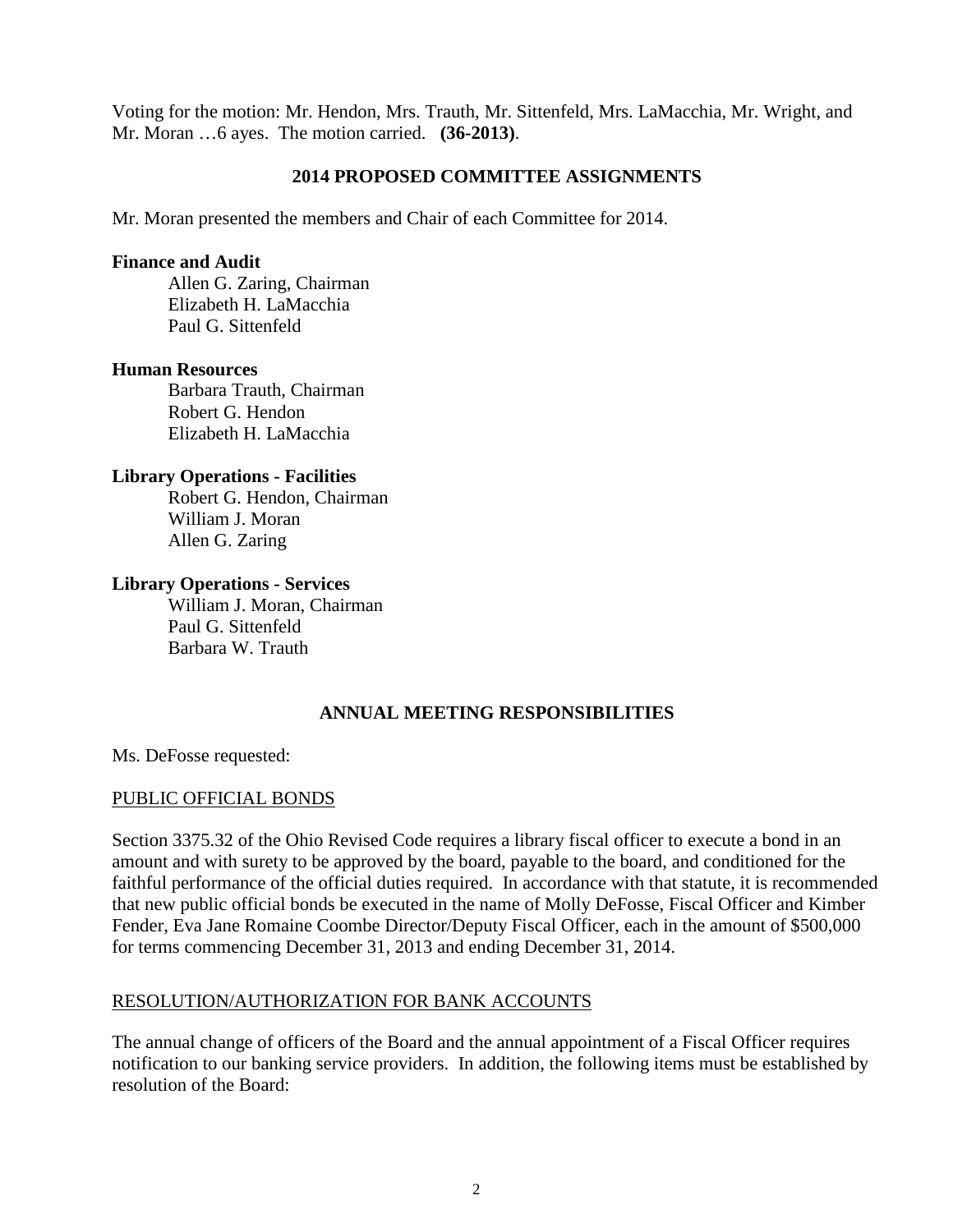Voting for the motion: Mr. Hendon, Mrs. Trauth, Mr. Sittenfeld, Mrs. LaMacchia, Mr. Wright, and Mr. Moran …6 ayes. The motion carried. **(36-2013)**.

# **2014 PROPOSED COMMITTEE ASSIGNMENTS**

Mr. Moran presented the members and Chair of each Committee for 2014.

### **Finance and Audit**

Allen G. Zaring, Chairman Elizabeth H. LaMacchia Paul G. Sittenfeld

### **Human Resources**

Barbara Trauth, Chairman Robert G. Hendon Elizabeth H. LaMacchia

### **Library Operations - Facilities**

Robert G. Hendon, Chairman William J. Moran Allen G. Zaring

### **Library Operations - Services**

William J. Moran, Chairman Paul G. Sittenfeld Barbara W. Trauth

# **ANNUAL MEETING RESPONSIBILITIES**

Ms. DeFosse requested:

### PUBLIC OFFICIAL BONDS

Section 3375.32 of the Ohio Revised Code requires a library fiscal officer to execute a bond in an amount and with surety to be approved by the board, payable to the board, and conditioned for the faithful performance of the official duties required. In accordance with that statute, it is recommended that new public official bonds be executed in the name of Molly DeFosse, Fiscal Officer and Kimber Fender, Eva Jane Romaine Coombe Director/Deputy Fiscal Officer, each in the amount of \$500,000 for terms commencing December 31, 2013 and ending December 31, 2014.

### RESOLUTION/AUTHORIZATION FOR BANK ACCOUNTS

The annual change of officers of the Board and the annual appointment of a Fiscal Officer requires notification to our banking service providers. In addition, the following items must be established by resolution of the Board: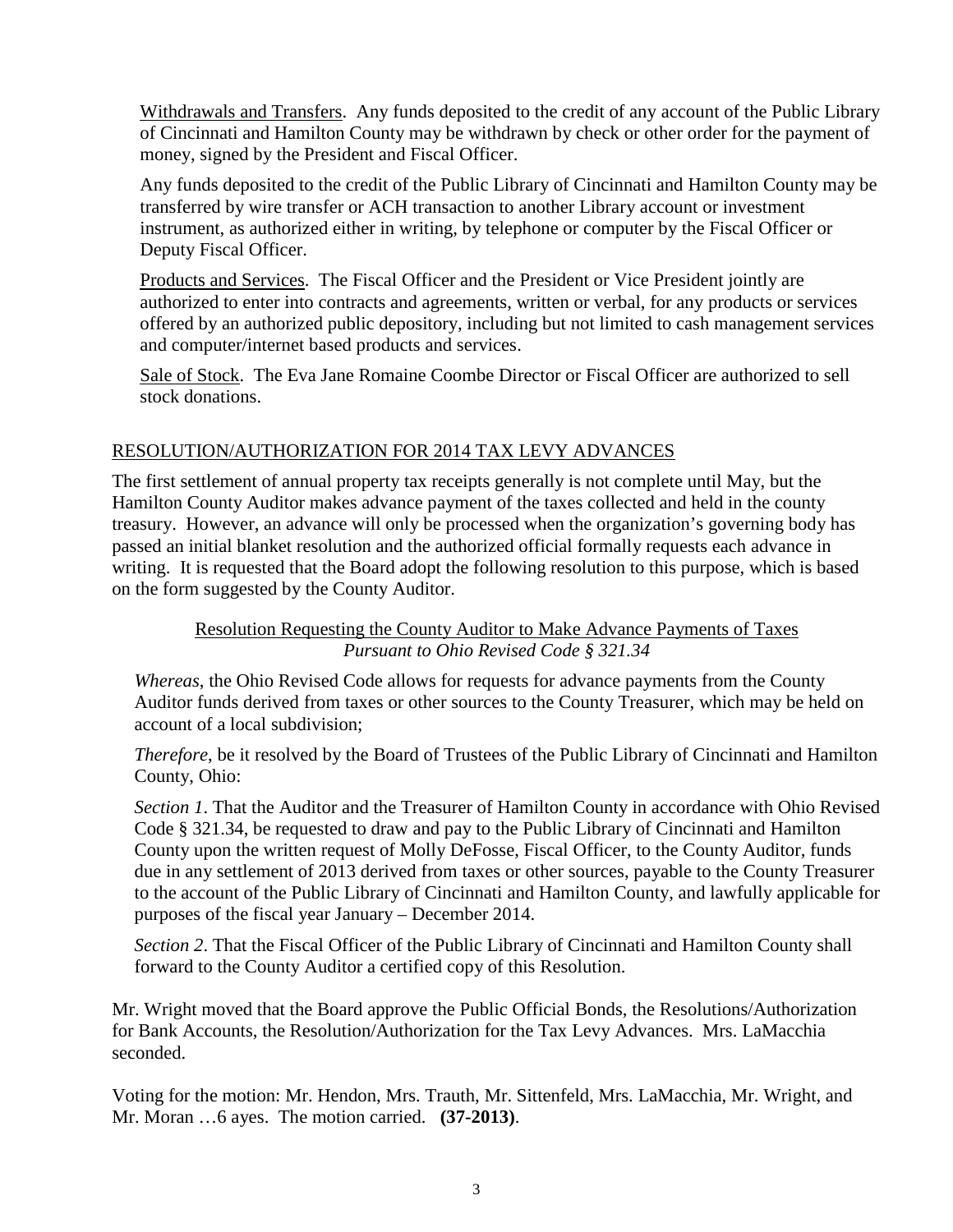Withdrawals and Transfers. Any funds deposited to the credit of any account of the Public Library of Cincinnati and Hamilton County may be withdrawn by check or other order for the payment of money, signed by the President and Fiscal Officer.

Any funds deposited to the credit of the Public Library of Cincinnati and Hamilton County may be transferred by wire transfer or ACH transaction to another Library account or investment instrument, as authorized either in writing, by telephone or computer by the Fiscal Officer or Deputy Fiscal Officer.

Products and Services. The Fiscal Officer and the President or Vice President jointly are authorized to enter into contracts and agreements, written or verbal, for any products or services offered by an authorized public depository, including but not limited to cash management services and computer/internet based products and services.

Sale of Stock. The Eva Jane Romaine Coombe Director or Fiscal Officer are authorized to sell stock donations.

# RESOLUTION/AUTHORIZATION FOR 2014 TAX LEVY ADVANCES

The first settlement of annual property tax receipts generally is not complete until May, but the Hamilton County Auditor makes advance payment of the taxes collected and held in the county treasury. However, an advance will only be processed when the organization's governing body has passed an initial blanket resolution and the authorized official formally requests each advance in writing. It is requested that the Board adopt the following resolution to this purpose, which is based on the form suggested by the County Auditor.

> Resolution Requesting the County Auditor to Make Advance Payments of Taxes *Pursuant to Ohio Revised Code § 321.34*

*Whereas*, the Ohio Revised Code allows for requests for advance payments from the County Auditor funds derived from taxes or other sources to the County Treasurer, which may be held on account of a local subdivision;

*Therefore*, be it resolved by the Board of Trustees of the Public Library of Cincinnati and Hamilton County, Ohio:

*Section 1*. That the Auditor and the Treasurer of Hamilton County in accordance with Ohio Revised Code § 321.34, be requested to draw and pay to the Public Library of Cincinnati and Hamilton County upon the written request of Molly DeFosse, Fiscal Officer, to the County Auditor, funds due in any settlement of 2013 derived from taxes or other sources, payable to the County Treasurer to the account of the Public Library of Cincinnati and Hamilton County, and lawfully applicable for purposes of the fiscal year January – December 2014.

*Section 2*. That the Fiscal Officer of the Public Library of Cincinnati and Hamilton County shall forward to the County Auditor a certified copy of this Resolution.

Mr. Wright moved that the Board approve the Public Official Bonds, the Resolutions/Authorization for Bank Accounts, the Resolution/Authorization for the Tax Levy Advances. Mrs. LaMacchia seconded.

Voting for the motion: Mr. Hendon, Mrs. Trauth, Mr. Sittenfeld, Mrs. LaMacchia, Mr. Wright, and Mr. Moran …6 ayes. The motion carried. **(37-2013)**.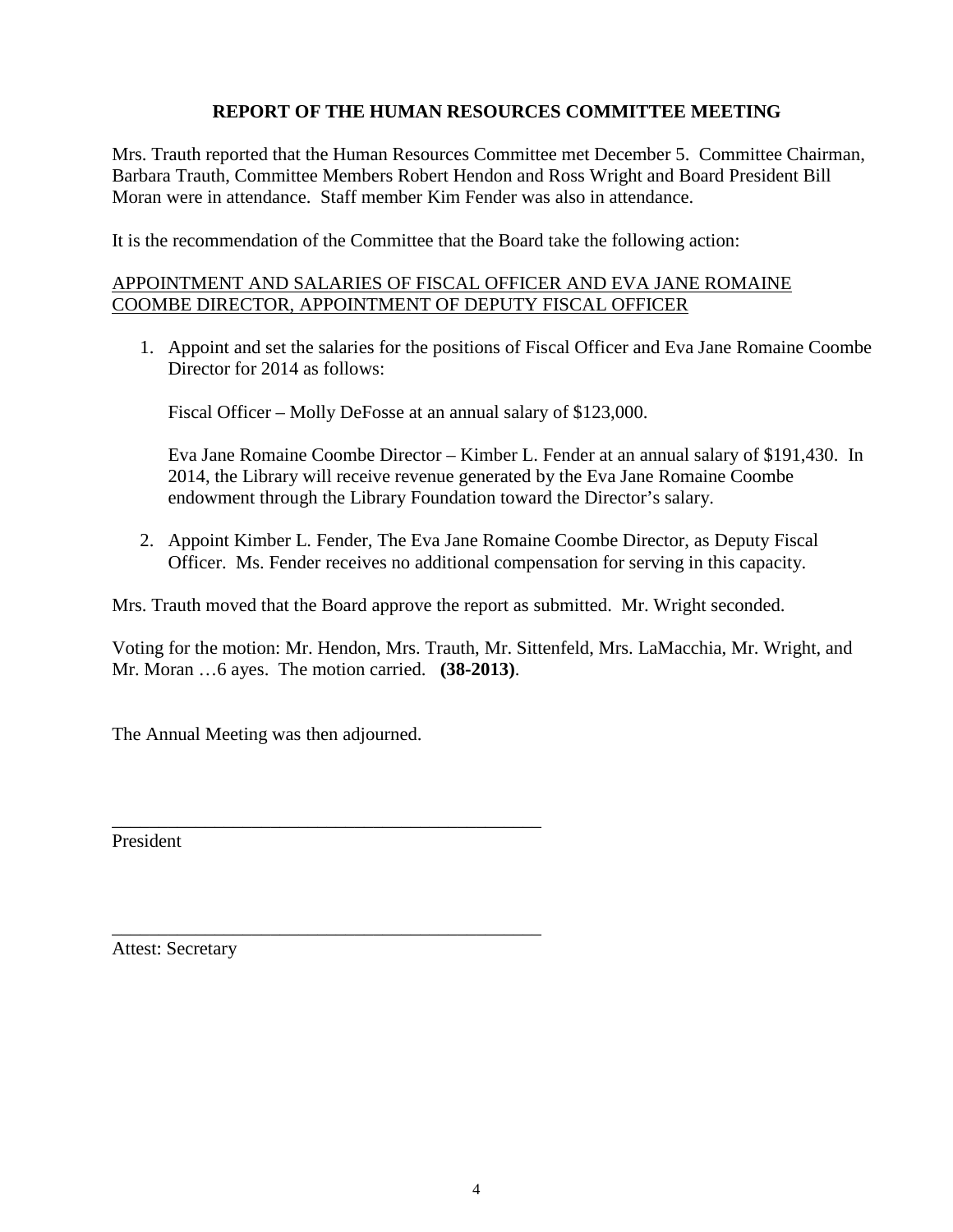# **REPORT OF THE HUMAN RESOURCES COMMITTEE MEETING**

Mrs. Trauth reported that the Human Resources Committee met December 5. Committee Chairman, Barbara Trauth, Committee Members Robert Hendon and Ross Wright and Board President Bill Moran were in attendance. Staff member Kim Fender was also in attendance.

It is the recommendation of the Committee that the Board take the following action:

## APPOINTMENT AND SALARIES OF FISCAL OFFICER AND EVA JANE ROMAINE COOMBE DIRECTOR, APPOINTMENT OF DEPUTY FISCAL OFFICER

1. Appoint and set the salaries for the positions of Fiscal Officer and Eva Jane Romaine Coombe Director for 2014 as follows:

Fiscal Officer – Molly DeFosse at an annual salary of \$123,000.

Eva Jane Romaine Coombe Director – Kimber L. Fender at an annual salary of \$191,430. In 2014, the Library will receive revenue generated by the Eva Jane Romaine Coombe endowment through the Library Foundation toward the Director's salary.

2. Appoint Kimber L. Fender, The Eva Jane Romaine Coombe Director, as Deputy Fiscal Officer. Ms. Fender receives no additional compensation for serving in this capacity.

Mrs. Trauth moved that the Board approve the report as submitted. Mr. Wright seconded.

Voting for the motion: Mr. Hendon, Mrs. Trauth, Mr. Sittenfeld, Mrs. LaMacchia, Mr. Wright, and Mr. Moran …6 ayes. The motion carried. **(38-2013)**.

The Annual Meeting was then adjourned.

\_\_\_\_\_\_\_\_\_\_\_\_\_\_\_\_\_\_\_\_\_\_\_\_\_\_\_\_\_\_\_\_\_\_\_\_\_\_\_\_\_\_\_\_\_\_

\_\_\_\_\_\_\_\_\_\_\_\_\_\_\_\_\_\_\_\_\_\_\_\_\_\_\_\_\_\_\_\_\_\_\_\_\_\_\_\_\_\_\_\_\_\_ President

Attest: Secretary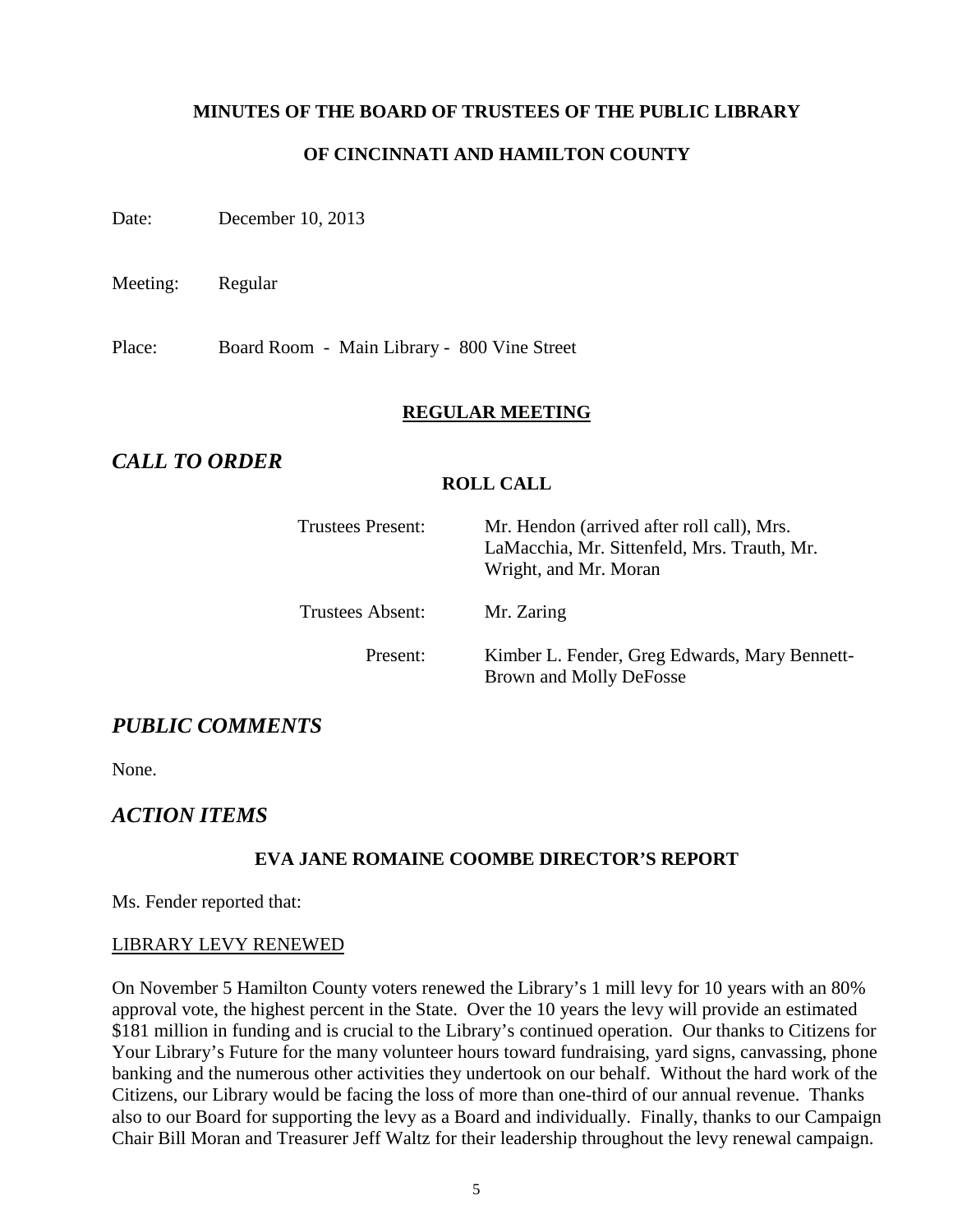## **MINUTES OF THE BOARD OF TRUSTEES OF THE PUBLIC LIBRARY**

# **OF CINCINNATI AND HAMILTON COUNTY**

Date: December 10, 2013

Meeting: Regular

Place: Board Room - Main Library - 800 Vine Street

# **REGULAR MEETING**

# *CALL TO ORDER*

## **ROLL CALL**

| <b>Trustees Present:</b> | Mr. Hendon (arrived after roll call), Mrs.<br>LaMacchia, Mr. Sittenfeld, Mrs. Trauth, Mr.<br>Wright, and Mr. Moran |
|--------------------------|--------------------------------------------------------------------------------------------------------------------|
| Trustees Absent:         | Mr. Zaring                                                                                                         |
| Present:                 | Kimber L. Fender, Greg Edwards, Mary Bennett-<br>Brown and Molly DeFosse                                           |

*PUBLIC COMMENTS*

None.

# *ACTION ITEMS*

# **EVA JANE ROMAINE COOMBE DIRECTOR'S REPORT**

Ms. Fender reported that:

### LIBRARY LEVY RENEWED

On November 5 Hamilton County voters renewed the Library's 1 mill levy for 10 years with an 80% approval vote, the highest percent in the State. Over the 10 years the levy will provide an estimated \$181 million in funding and is crucial to the Library's continued operation. Our thanks to Citizens for Your Library's Future for the many volunteer hours toward fundraising, yard signs, canvassing, phone banking and the numerous other activities they undertook on our behalf. Without the hard work of the Citizens, our Library would be facing the loss of more than one-third of our annual revenue. Thanks also to our Board for supporting the levy as a Board and individually. Finally, thanks to our Campaign Chair Bill Moran and Treasurer Jeff Waltz for their leadership throughout the levy renewal campaign.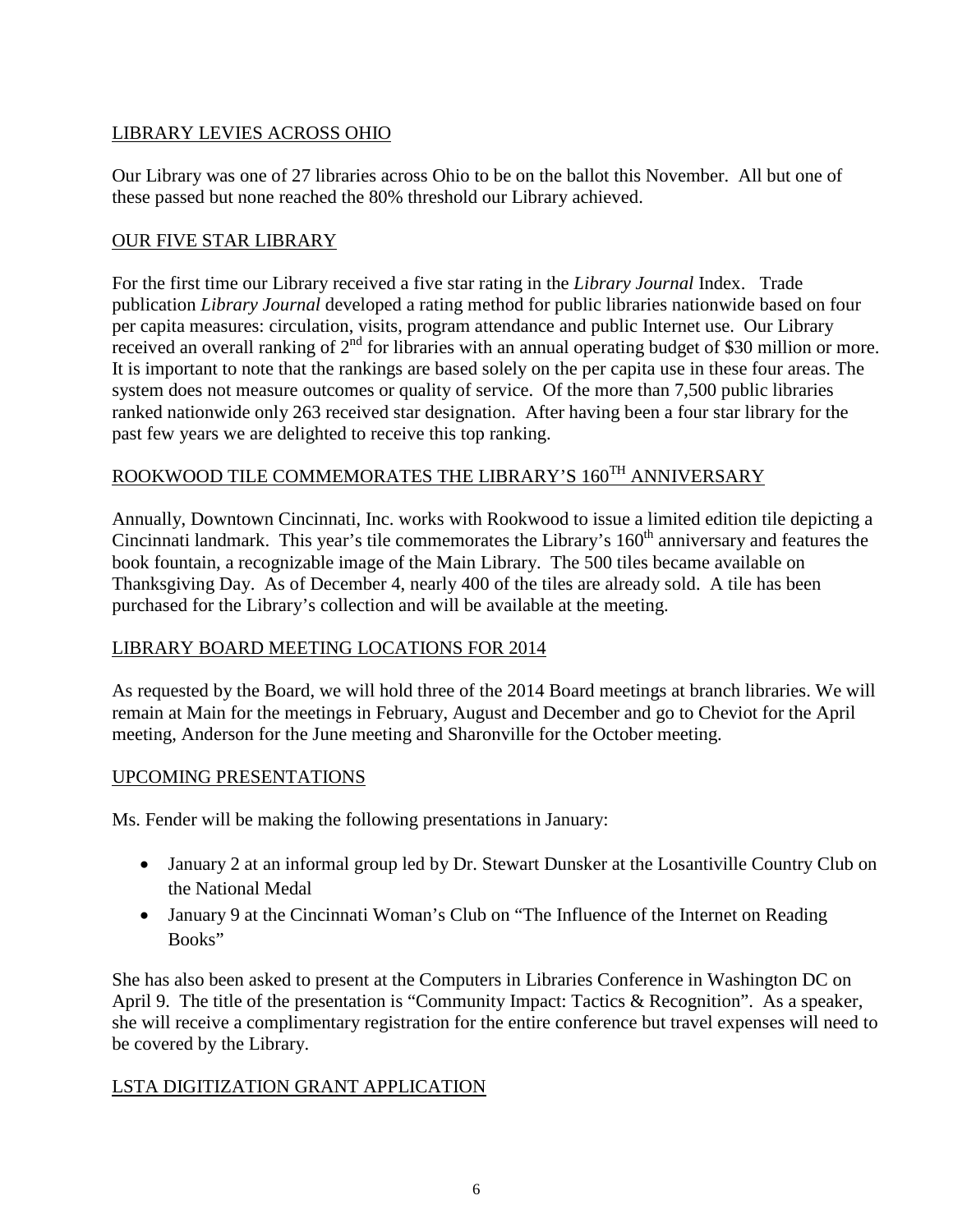# LIBRARY LEVIES ACROSS OHIO

Our Library was one of 27 libraries across Ohio to be on the ballot this November. All but one of these passed but none reached the 80% threshold our Library achieved.

# OUR FIVE STAR LIBRARY

For the first time our Library received a five star rating in the *Library Journal* Index. Trade publication *Library Journal* developed a rating method for public libraries nationwide based on four per capita measures: circulation, visits, program attendance and public Internet use. Our Library received an overall ranking of 2<sup>nd</sup> for libraries with an annual operating budget of \$30 million or more. It is important to note that the rankings are based solely on the per capita use in these four areas. The system does not measure outcomes or quality of service. Of the more than 7,500 public libraries ranked nationwide only 263 received star designation. After having been a four star library for the past few years we are delighted to receive this top ranking.

# ROOKWOOD TILE COMMEMORATES THE LIBRARY'S 160<sup>TH</sup> ANNIVERSARY

Annually, Downtown Cincinnati, Inc. works with Rookwood to issue a limited edition tile depicting a Cincinnati landmark. This year's tile commemorates the Library's  $160<sup>th</sup>$  anniversary and features the book fountain, a recognizable image of the Main Library. The 500 tiles became available on Thanksgiving Day. As of December 4, nearly 400 of the tiles are already sold. A tile has been purchased for the Library's collection and will be available at the meeting.

# LIBRARY BOARD MEETING LOCATIONS FOR 2014

As requested by the Board, we will hold three of the 2014 Board meetings at branch libraries. We will remain at Main for the meetings in February, August and December and go to Cheviot for the April meeting, Anderson for the June meeting and Sharonville for the October meeting.

# UPCOMING PRESENTATIONS

Ms. Fender will be making the following presentations in January:

- January 2 at an informal group led by Dr. Stewart Dunsker at the Losantiville Country Club on the National Medal
- January 9 at the Cincinnati Woman's Club on "The Influence of the Internet on Reading Books"

She has also been asked to present at the Computers in Libraries Conference in Washington DC on April 9. The title of the presentation is "Community Impact: Tactics & Recognition". As a speaker, she will receive a complimentary registration for the entire conference but travel expenses will need to be covered by the Library.

# LSTA DIGITIZATION GRANT APPLICATION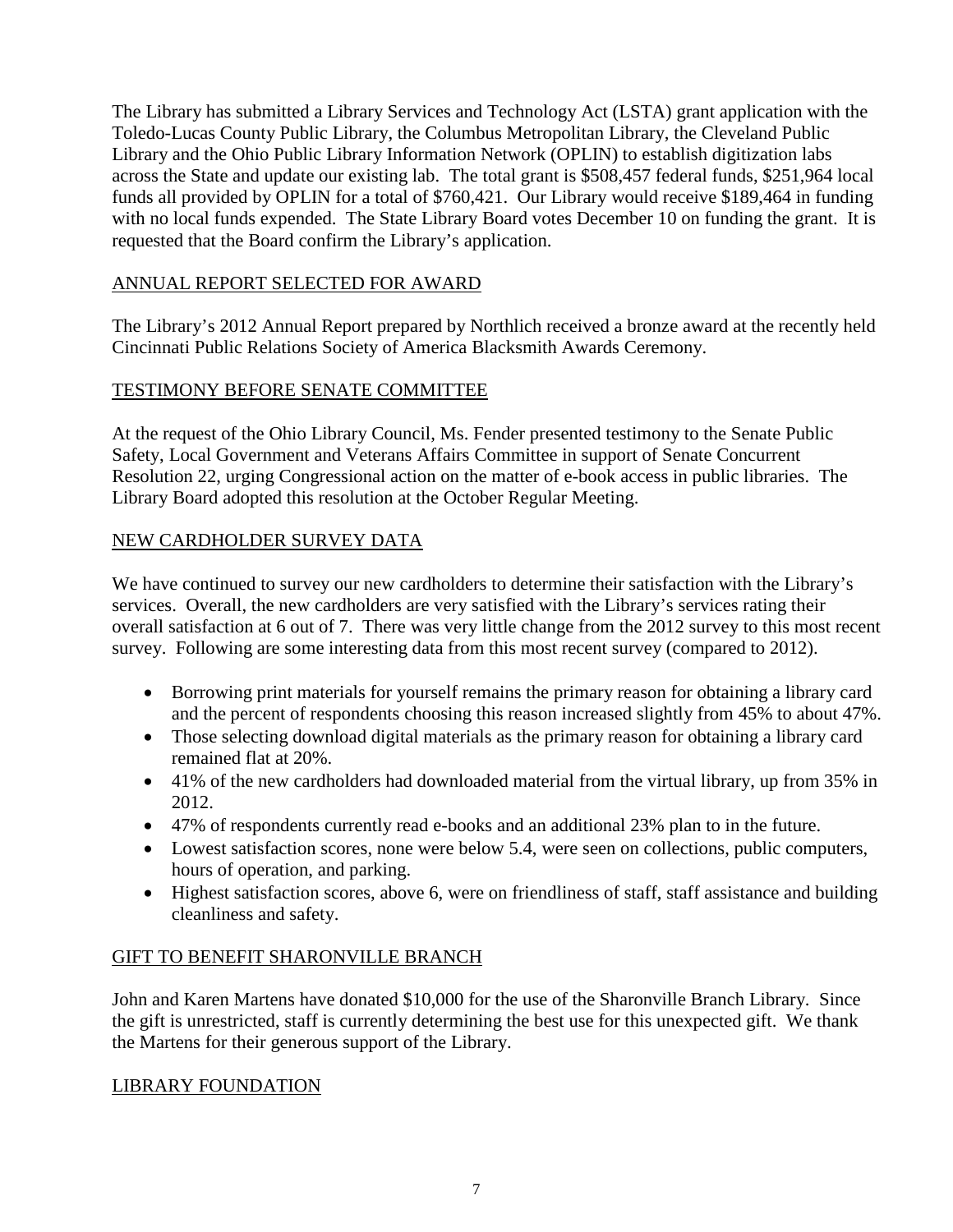The Library has submitted a Library Services and Technology Act (LSTA) grant application with the Toledo-Lucas County Public Library, the Columbus Metropolitan Library, the Cleveland Public Library and the Ohio Public Library Information Network (OPLIN) to establish digitization labs across the State and update our existing lab. The total grant is \$508,457 federal funds, \$251,964 local funds all provided by OPLIN for a total of \$760,421. Our Library would receive \$189,464 in funding with no local funds expended. The State Library Board votes December 10 on funding the grant. It is requested that the Board confirm the Library's application.

# ANNUAL REPORT SELECTED FOR AWARD

The Library's 2012 Annual Report prepared by Northlich received a bronze award at the recently held Cincinnati Public Relations Society of America Blacksmith Awards Ceremony.

# TESTIMONY BEFORE SENATE COMMITTEE

At the request of the Ohio Library Council, Ms. Fender presented testimony to the Senate Public Safety, Local Government and Veterans Affairs Committee in support of Senate Concurrent Resolution 22, urging Congressional action on the matter of e-book access in public libraries. The Library Board adopted this resolution at the October Regular Meeting.

# NEW CARDHOLDER SURVEY DATA

We have continued to survey our new cardholders to determine their satisfaction with the Library's services. Overall, the new cardholders are very satisfied with the Library's services rating their overall satisfaction at 6 out of 7. There was very little change from the 2012 survey to this most recent survey. Following are some interesting data from this most recent survey (compared to 2012).

- Borrowing print materials for yourself remains the primary reason for obtaining a library card and the percent of respondents choosing this reason increased slightly from 45% to about 47%.
- Those selecting download digital materials as the primary reason for obtaining a library card remained flat at 20%.
- 41% of the new cardholders had downloaded material from the virtual library, up from 35% in 2012.
- 47% of respondents currently read e-books and an additional 23% plan to in the future.
- Lowest satisfaction scores, none were below 5.4, were seen on collections, public computers, hours of operation, and parking.
- Highest satisfaction scores, above 6, were on friendliness of staff, staff assistance and building cleanliness and safety.

# GIFT TO BENEFIT SHARONVILLE BRANCH

John and Karen Martens have donated \$10,000 for the use of the Sharonville Branch Library. Since the gift is unrestricted, staff is currently determining the best use for this unexpected gift. We thank the Martens for their generous support of the Library.

# LIBRARY FOUNDATION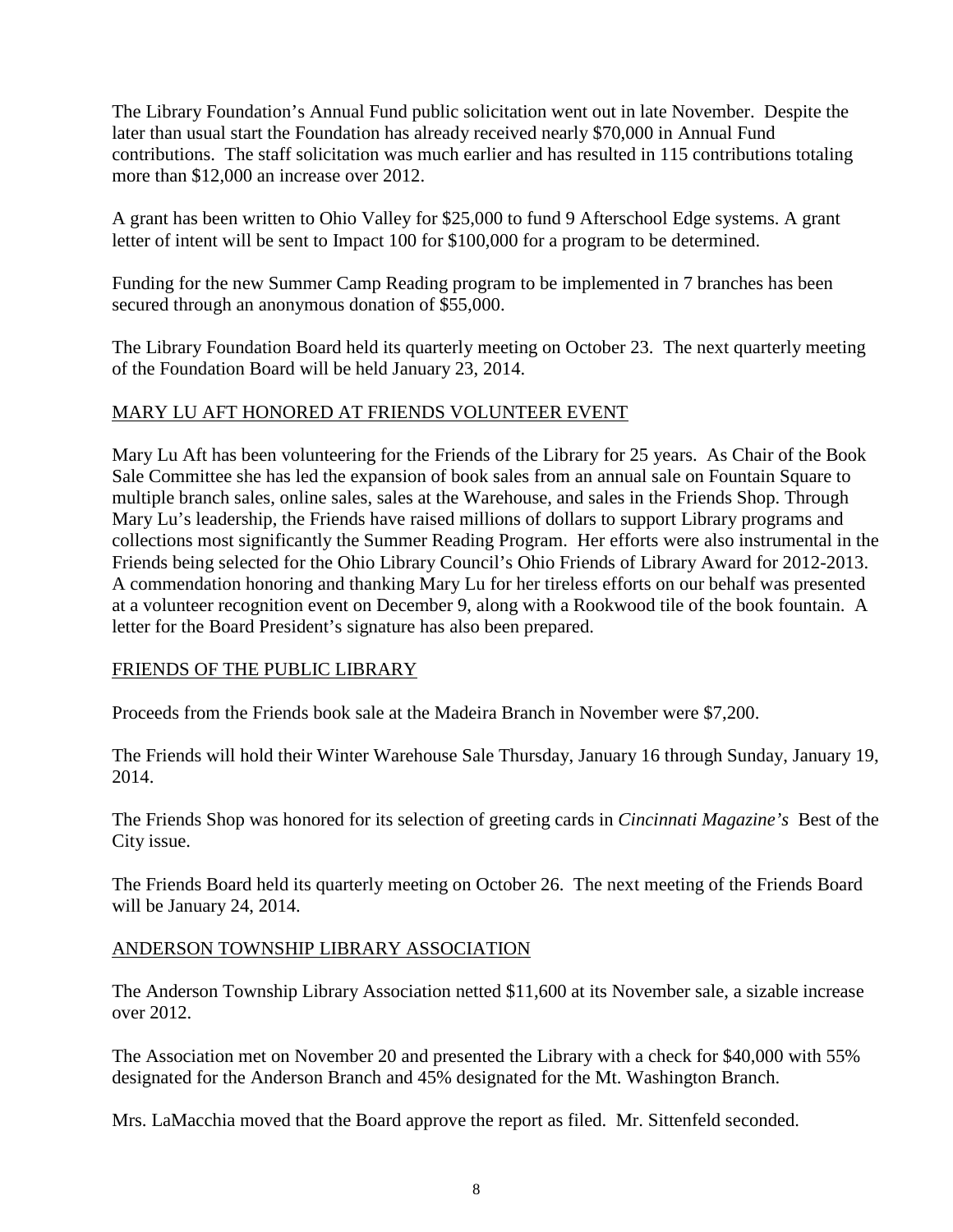The Library Foundation's Annual Fund public solicitation went out in late November. Despite the later than usual start the Foundation has already received nearly \$70,000 in Annual Fund contributions. The staff solicitation was much earlier and has resulted in 115 contributions totaling more than \$12,000 an increase over 2012.

A grant has been written to Ohio Valley for \$25,000 to fund 9 Afterschool Edge systems. A grant letter of intent will be sent to Impact 100 for \$100,000 for a program to be determined.

Funding for the new Summer Camp Reading program to be implemented in 7 branches has been secured through an anonymous donation of \$55,000.

The Library Foundation Board held its quarterly meeting on October 23. The next quarterly meeting of the Foundation Board will be held January 23, 2014.

## MARY LU AFT HONORED AT FRIENDS VOLUNTEER EVENT

Mary Lu Aft has been volunteering for the Friends of the Library for 25 years. As Chair of the Book Sale Committee she has led the expansion of book sales from an annual sale on Fountain Square to multiple branch sales, online sales, sales at the Warehouse, and sales in the Friends Shop. Through Mary Lu's leadership, the Friends have raised millions of dollars to support Library programs and collections most significantly the Summer Reading Program. Her efforts were also instrumental in the Friends being selected for the Ohio Library Council's Ohio Friends of Library Award for 2012-2013. A commendation honoring and thanking Mary Lu for her tireless efforts on our behalf was presented at a volunteer recognition event on December 9, along with a Rookwood tile of the book fountain. A letter for the Board President's signature has also been prepared.

### FRIENDS OF THE PUBLIC LIBRARY

Proceeds from the Friends book sale at the Madeira Branch in November were \$7,200.

The Friends will hold their Winter Warehouse Sale Thursday, January 16 through Sunday, January 19, 2014.

The Friends Shop was honored for its selection of greeting cards in *Cincinnati Magazine's* Best of the City issue.

The Friends Board held its quarterly meeting on October 26. The next meeting of the Friends Board will be January 24, 2014.

# ANDERSON TOWNSHIP LIBRARY ASSOCIATION

The Anderson Township Library Association netted \$11,600 at its November sale, a sizable increase over 2012.

The Association met on November 20 and presented the Library with a check for \$40,000 with 55% designated for the Anderson Branch and 45% designated for the Mt. Washington Branch.

Mrs. LaMacchia moved that the Board approve the report as filed. Mr. Sittenfeld seconded.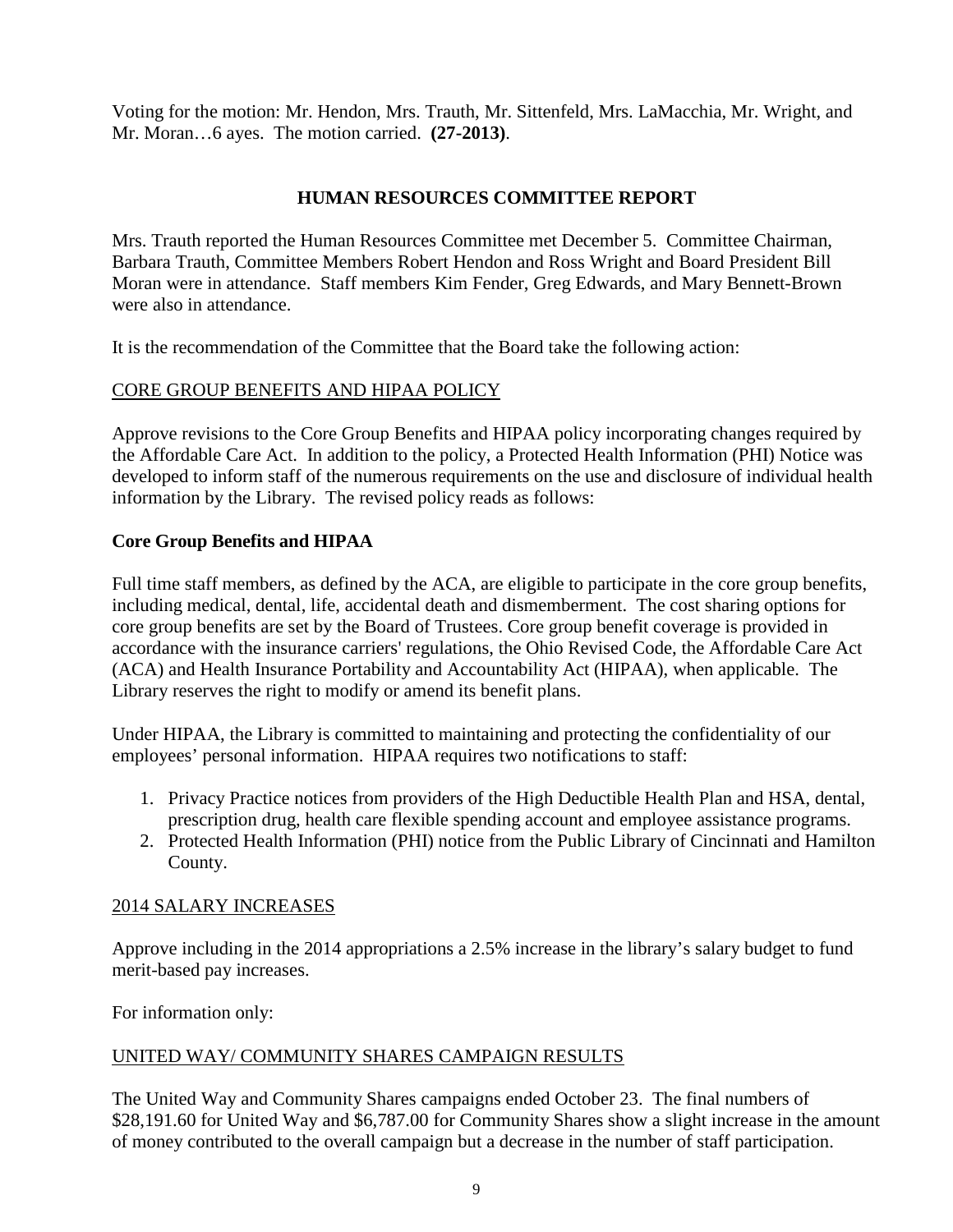Voting for the motion: Mr. Hendon, Mrs. Trauth, Mr. Sittenfeld, Mrs. LaMacchia, Mr. Wright, and Mr. Moran…6 ayes. The motion carried. **(27-2013)**.

# **HUMAN RESOURCES COMMITTEE REPORT**

Mrs. Trauth reported the Human Resources Committee met December 5. Committee Chairman, Barbara Trauth, Committee Members Robert Hendon and Ross Wright and Board President Bill Moran were in attendance. Staff members Kim Fender, Greg Edwards, and Mary Bennett-Brown were also in attendance.

It is the recommendation of the Committee that the Board take the following action:

# CORE GROUP BENEFITS AND HIPAA POLICY

Approve revisions to the Core Group Benefits and HIPAA policy incorporating changes required by the Affordable Care Act. In addition to the policy, a Protected Health Information (PHI) Notice was developed to inform staff of the numerous requirements on the use and disclosure of individual health information by the Library. The revised policy reads as follows:

# **Core Group Benefits and HIPAA**

Full time staff members, as defined by the ACA, are eligible to participate in the core group benefits, including medical, dental, life, accidental death and dismemberment. The cost sharing options for core group benefits are set by the Board of Trustees. Core group benefit coverage is provided in accordance with the insurance carriers' regulations, the Ohio Revised Code, the Affordable Care Act (ACA) and Health Insurance Portability and Accountability Act (HIPAA), when applicable. The Library reserves the right to modify or amend its benefit plans.

Under HIPAA, the Library is committed to maintaining and protecting the confidentiality of our employees' personal information. HIPAA requires two notifications to staff:

- 1. Privacy Practice notices from providers of the High Deductible Health Plan and HSA, dental, prescription drug, health care flexible spending account and employee assistance programs.
- 2. Protected Health Information (PHI) notice from the Public Library of Cincinnati and Hamilton County.

# 2014 SALARY INCREASES

Approve including in the 2014 appropriations a 2.5% increase in the library's salary budget to fund merit-based pay increases.

For information only:

# UNITED WAY/ COMMUNITY SHARES CAMPAIGN RESULTS

The United Way and Community Shares campaigns ended October 23. The final numbers of \$28,191.60 for United Way and \$6,787.00 for Community Shares show a slight increase in the amount of money contributed to the overall campaign but a decrease in the number of staff participation.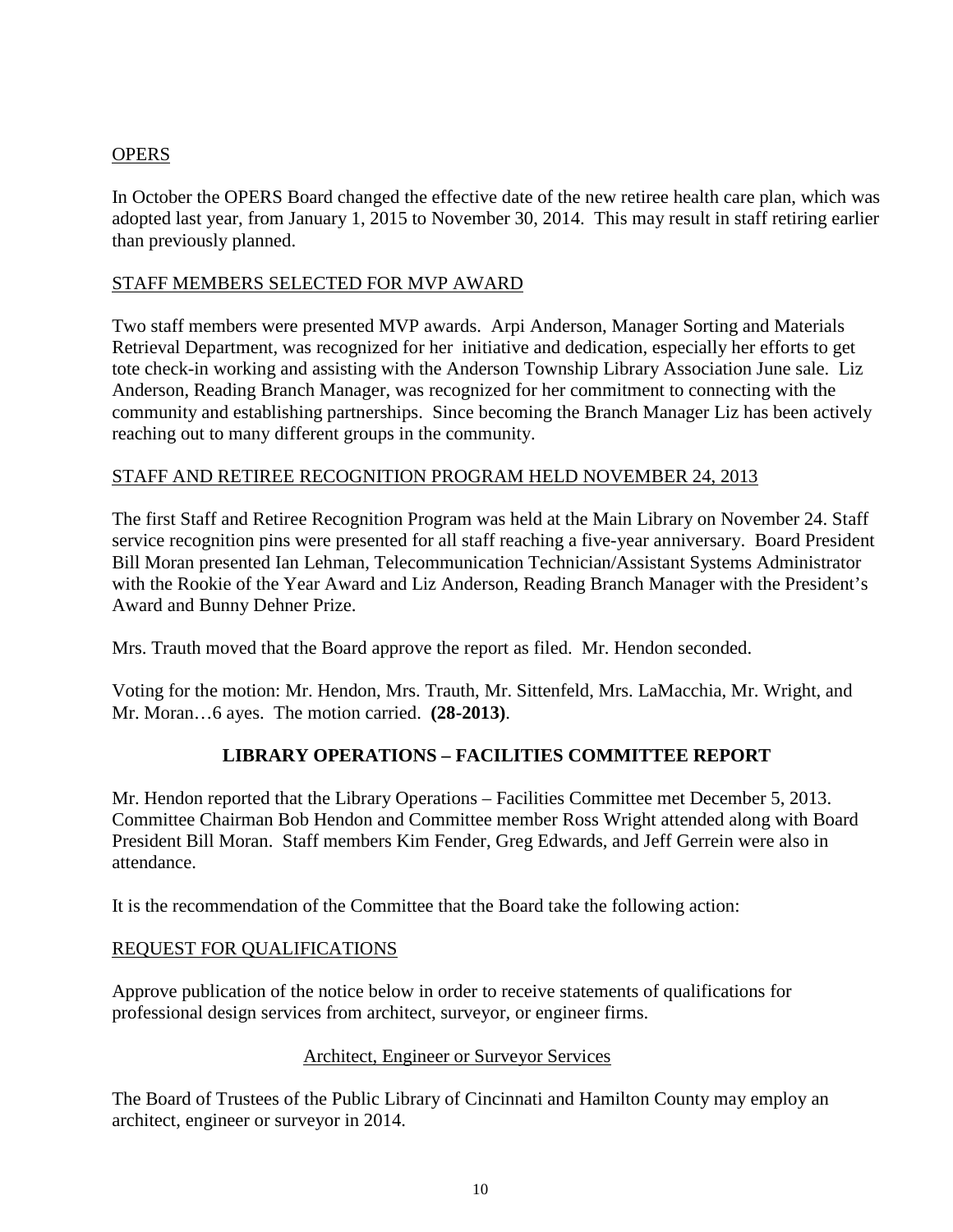# OPERS

In October the OPERS Board changed the effective date of the new retiree health care plan, which was adopted last year, from January 1, 2015 to November 30, 2014. This may result in staff retiring earlier than previously planned.

## STAFF MEMBERS SELECTED FOR MVP AWARD

Two staff members were presented MVP awards. Arpi Anderson, Manager Sorting and Materials Retrieval Department, was recognized for her initiative and dedication, especially her efforts to get tote check-in working and assisting with the Anderson Township Library Association June sale. Liz Anderson, Reading Branch Manager, was recognized for her commitment to connecting with the community and establishing partnerships. Since becoming the Branch Manager Liz has been actively reaching out to many different groups in the community.

## STAFF AND RETIREE RECOGNITION PROGRAM HELD NOVEMBER 24, 2013

The first Staff and Retiree Recognition Program was held at the Main Library on November 24. Staff service recognition pins were presented for all staff reaching a five-year anniversary. Board President Bill Moran presented Ian Lehman, Telecommunication Technician/Assistant Systems Administrator with the Rookie of the Year Award and Liz Anderson, Reading Branch Manager with the President's Award and Bunny Dehner Prize.

Mrs. Trauth moved that the Board approve the report as filed. Mr. Hendon seconded.

Voting for the motion: Mr. Hendon, Mrs. Trauth, Mr. Sittenfeld, Mrs. LaMacchia, Mr. Wright, and Mr. Moran…6 ayes. The motion carried. **(28-2013)**.

# **LIBRARY OPERATIONS – FACILITIES COMMITTEE REPORT**

Mr. Hendon reported that the Library Operations – Facilities Committee met December 5, 2013. Committee Chairman Bob Hendon and Committee member Ross Wright attended along with Board President Bill Moran. Staff members Kim Fender, Greg Edwards, and Jeff Gerrein were also in attendance.

It is the recommendation of the Committee that the Board take the following action:

### REQUEST FOR QUALIFICATIONS

Approve publication of the notice below in order to receive statements of qualifications for professional design services from architect, surveyor, or engineer firms.

### Architect, Engineer or Surveyor Services

The Board of Trustees of the Public Library of Cincinnati and Hamilton County may employ an architect, engineer or surveyor in 2014.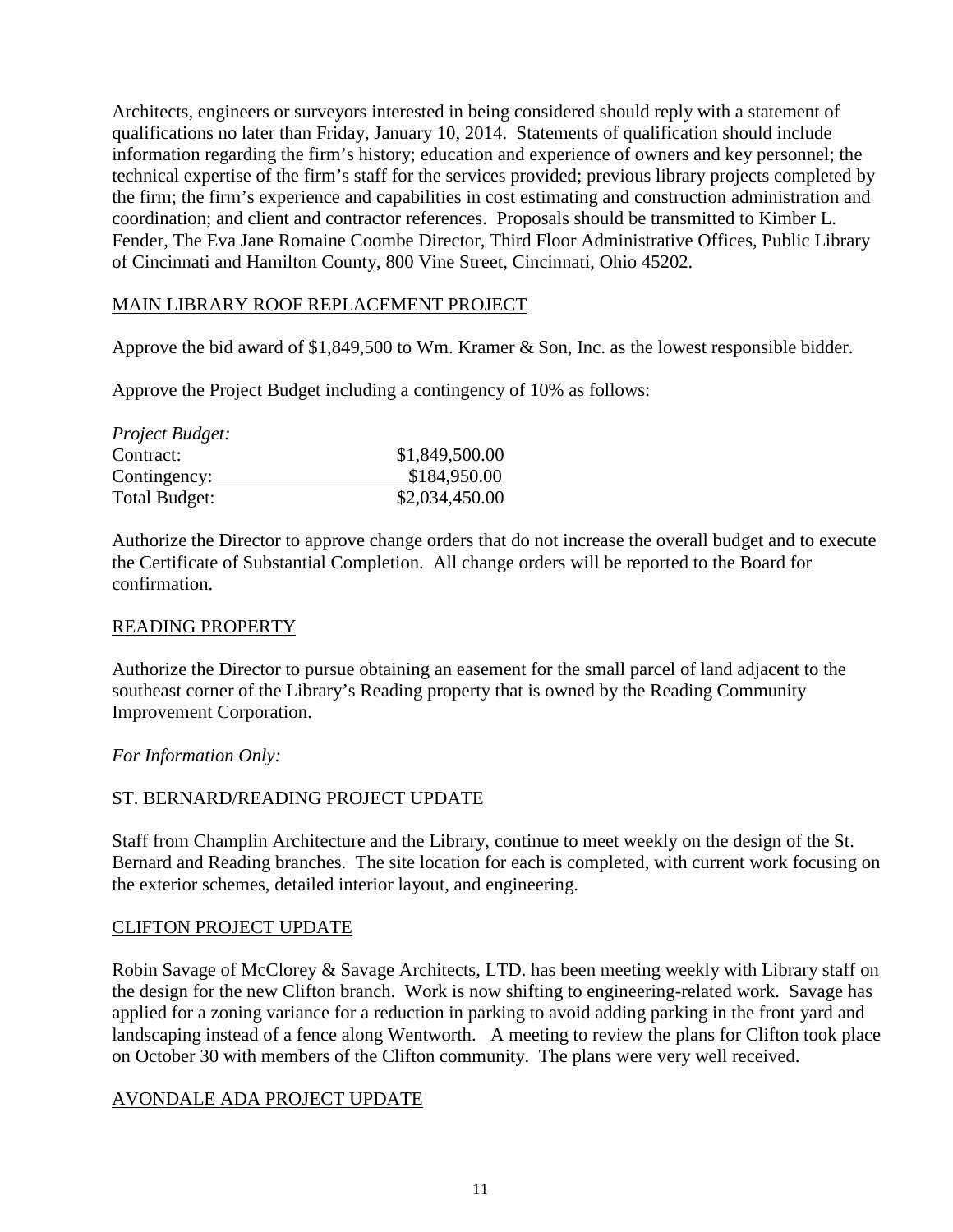Architects, engineers or surveyors interested in being considered should reply with a statement of qualifications no later than Friday, January 10, 2014. Statements of qualification should include information regarding the firm's history; education and experience of owners and key personnel; the technical expertise of the firm's staff for the services provided; previous library projects completed by the firm; the firm's experience and capabilities in cost estimating and construction administration and coordination; and client and contractor references. Proposals should be transmitted to Kimber L. Fender, The Eva Jane Romaine Coombe Director, Third Floor Administrative Offices, Public Library of Cincinnati and Hamilton County, 800 Vine Street, Cincinnati, Ohio 45202.

## MAIN LIBRARY ROOF REPLACEMENT PROJECT

Approve the bid award of \$1,849,500 to Wm. Kramer & Son, Inc. as the lowest responsible bidder.

Approve the Project Budget including a contingency of 10% as follows:

| Project Budget: |                |
|-----------------|----------------|
| Contract:       | \$1,849,500.00 |
| Contingency:    | \$184,950.00   |
| Total Budget:   | \$2,034,450.00 |

Authorize the Director to approve change orders that do not increase the overall budget and to execute the Certificate of Substantial Completion. All change orders will be reported to the Board for confirmation.

### READING PROPERTY

Authorize the Director to pursue obtaining an easement for the small parcel of land adjacent to the southeast corner of the Library's Reading property that is owned by the Reading Community Improvement Corporation.

*For Information Only:*

### ST. BERNARD/READING PROJECT UPDATE

Staff from Champlin Architecture and the Library, continue to meet weekly on the design of the St. Bernard and Reading branches. The site location for each is completed, with current work focusing on the exterior schemes, detailed interior layout, and engineering.

### CLIFTON PROJECT UPDATE

Robin Savage of McClorey & Savage Architects, LTD. has been meeting weekly with Library staff on the design for the new Clifton branch. Work is now shifting to engineering-related work. Savage has applied for a zoning variance for a reduction in parking to avoid adding parking in the front yard and landscaping instead of a fence along Wentworth. A meeting to review the plans for Clifton took place on October 30 with members of the Clifton community. The plans were very well received.

### AVONDALE ADA PROJECT UPDATE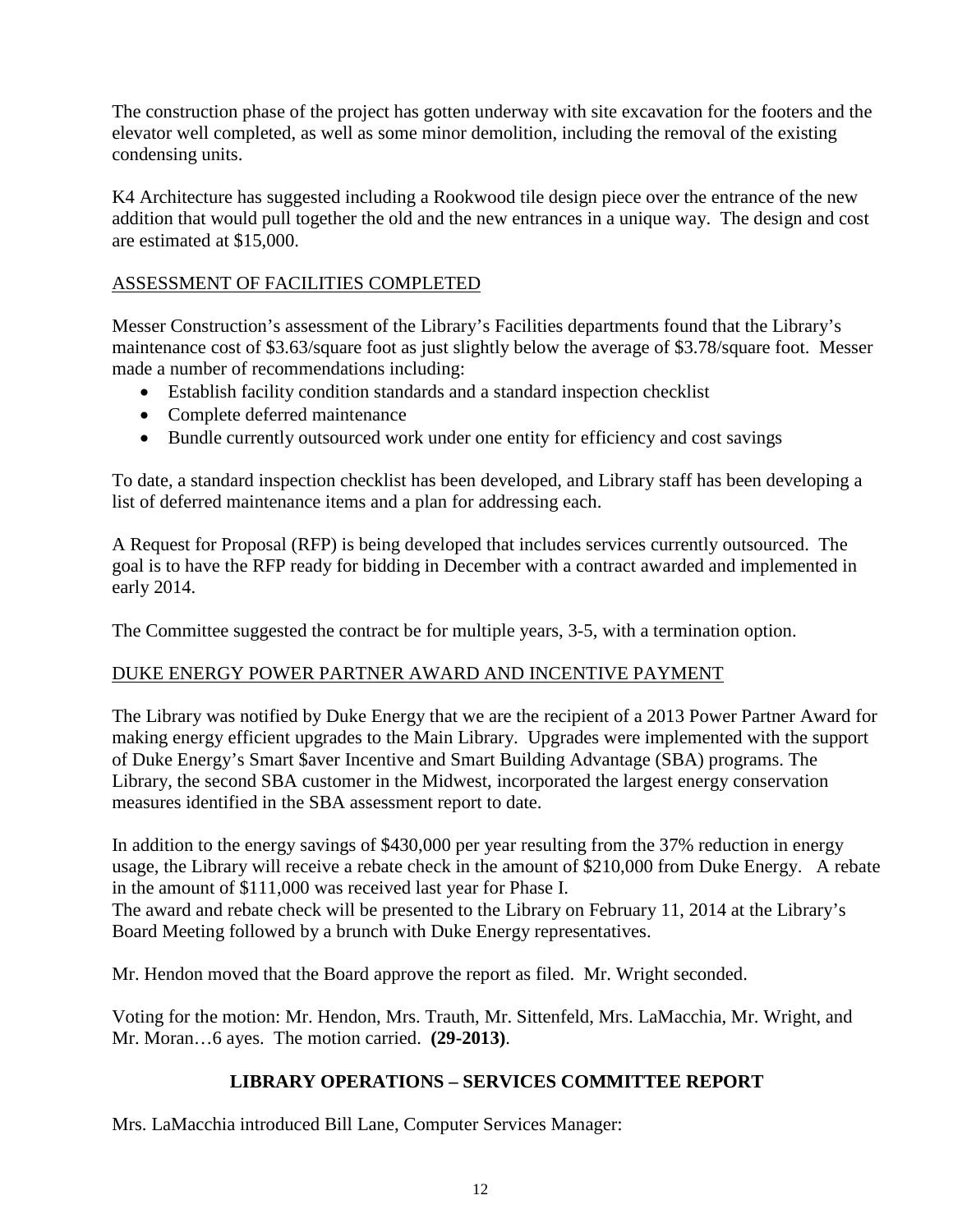The construction phase of the project has gotten underway with site excavation for the footers and the elevator well completed, as well as some minor demolition, including the removal of the existing condensing units.

K4 Architecture has suggested including a Rookwood tile design piece over the entrance of the new addition that would pull together the old and the new entrances in a unique way. The design and cost are estimated at \$15,000.

# ASSESSMENT OF FACILITIES COMPLETED

Messer Construction's assessment of the Library's Facilities departments found that the Library's maintenance cost of \$3.63/square foot as just slightly below the average of \$3.78/square foot. Messer made a number of recommendations including:

- Establish facility condition standards and a standard inspection checklist
- Complete deferred maintenance
- Bundle currently outsourced work under one entity for efficiency and cost savings

To date, a standard inspection checklist has been developed, and Library staff has been developing a list of deferred maintenance items and a plan for addressing each.

A Request for Proposal (RFP) is being developed that includes services currently outsourced. The goal is to have the RFP ready for bidding in December with a contract awarded and implemented in early 2014.

The Committee suggested the contract be for multiple years, 3-5, with a termination option.

# DUKE ENERGY POWER PARTNER AWARD AND INCENTIVE PAYMENT

The Library was notified by Duke Energy that we are the recipient of a 2013 Power Partner Award for making energy efficient upgrades to the Main Library. Upgrades were implemented with the support of Duke Energy's Smart \$aver Incentive and Smart Building Advantage (SBA) programs. The Library, the second SBA customer in the Midwest, incorporated the largest energy conservation measures identified in the SBA assessment report to date.

In addition to the energy savings of \$430,000 per year resulting from the 37% reduction in energy usage, the Library will receive a rebate check in the amount of \$210,000 from Duke Energy. A rebate in the amount of \$111,000 was received last year for Phase I.

The award and rebate check will be presented to the Library on February 11, 2014 at the Library's Board Meeting followed by a brunch with Duke Energy representatives.

Mr. Hendon moved that the Board approve the report as filed. Mr. Wright seconded.

Voting for the motion: Mr. Hendon, Mrs. Trauth, Mr. Sittenfeld, Mrs. LaMacchia, Mr. Wright, and Mr. Moran…6 ayes. The motion carried. **(29-2013)**.

# **LIBRARY OPERATIONS – SERVICES COMMITTEE REPORT**

Mrs. LaMacchia introduced Bill Lane, Computer Services Manager: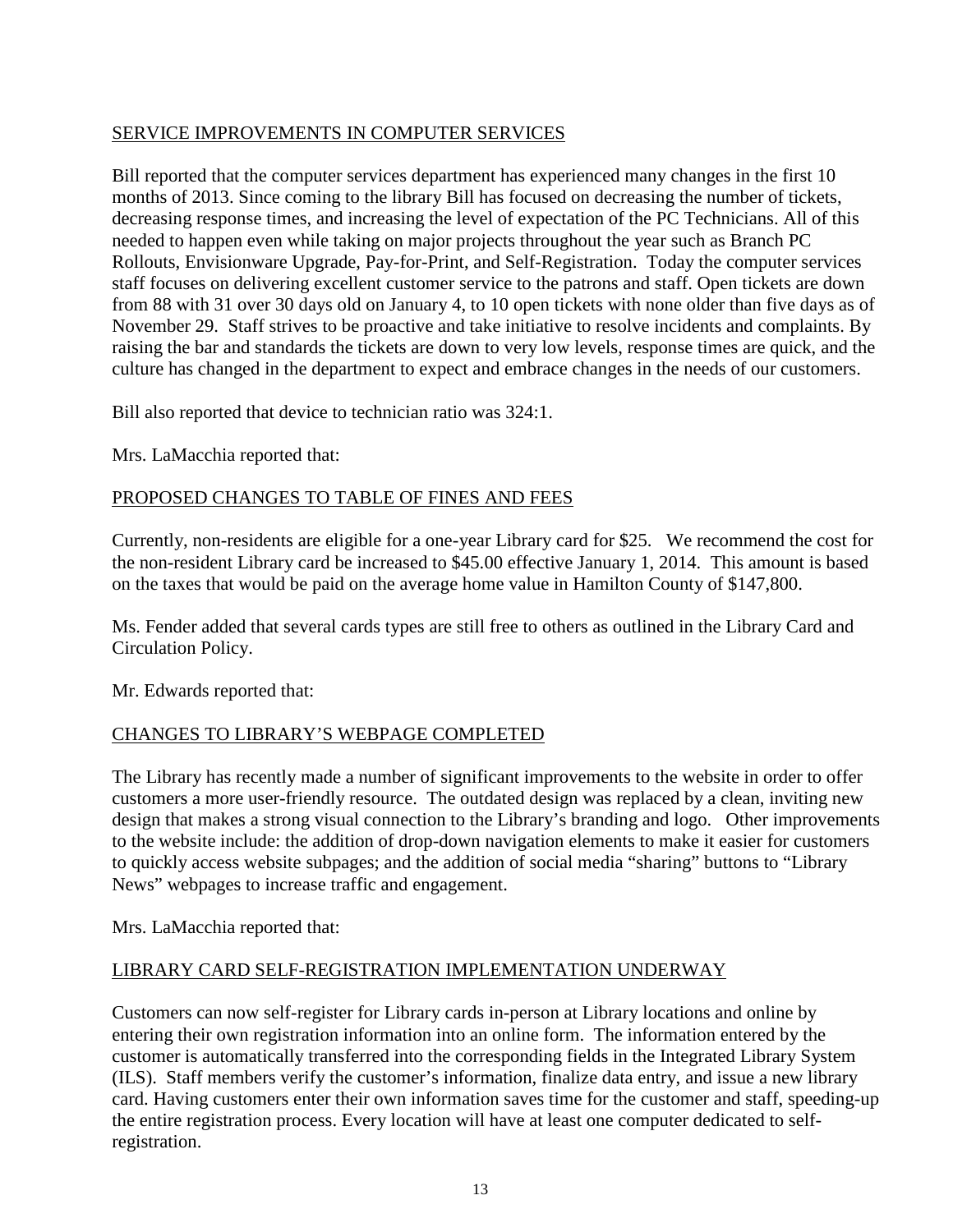# SERVICE IMPROVEMENTS IN COMPUTER SERVICES

Bill reported that the computer services department has experienced many changes in the first 10 months of 2013. Since coming to the library Bill has focused on decreasing the number of tickets, decreasing response times, and increasing the level of expectation of the PC Technicians. All of this needed to happen even while taking on major projects throughout the year such as Branch PC Rollouts, Envisionware Upgrade, Pay-for-Print, and Self-Registration. Today the computer services staff focuses on delivering excellent customer service to the patrons and staff. Open tickets are down from 88 with 31 over 30 days old on January 4, to 10 open tickets with none older than five days as of November 29. Staff strives to be proactive and take initiative to resolve incidents and complaints. By raising the bar and standards the tickets are down to very low levels, response times are quick, and the culture has changed in the department to expect and embrace changes in the needs of our customers.

Bill also reported that device to technician ratio was 324:1.

Mrs. LaMacchia reported that:

# PROPOSED CHANGES TO TABLE OF FINES AND FEES

Currently, non-residents are eligible for a one-year Library card for \$25. We recommend the cost for the non-resident Library card be increased to \$45.00 effective January 1, 2014. This amount is based on the taxes that would be paid on the average home value in Hamilton County of \$147,800.

Ms. Fender added that several cards types are still free to others as outlined in the Library Card and Circulation Policy.

Mr. Edwards reported that:

# CHANGES TO LIBRARY'S WEBPAGE COMPLETED

The Library has recently made a number of significant improvements to the website in order to offer customers a more user-friendly resource. The outdated design was replaced by a clean, inviting new design that makes a strong visual connection to the Library's branding and logo. Other improvements to the website include: the addition of drop-down navigation elements to make it easier for customers to quickly access website subpages; and the addition of social media "sharing" buttons to "Library News" webpages to increase traffic and engagement.

Mrs. LaMacchia reported that:

# LIBRARY CARD SELF-REGISTRATION IMPLEMENTATION UNDERWAY

Customers can now self-register for Library cards in-person at Library locations and online by entering their own registration information into an online form. The information entered by the customer is automatically transferred into the corresponding fields in the Integrated Library System (ILS). Staff members verify the customer's information, finalize data entry, and issue a new library card. Having customers enter their own information saves time for the customer and staff, speeding-up the entire registration process. Every location will have at least one computer dedicated to selfregistration.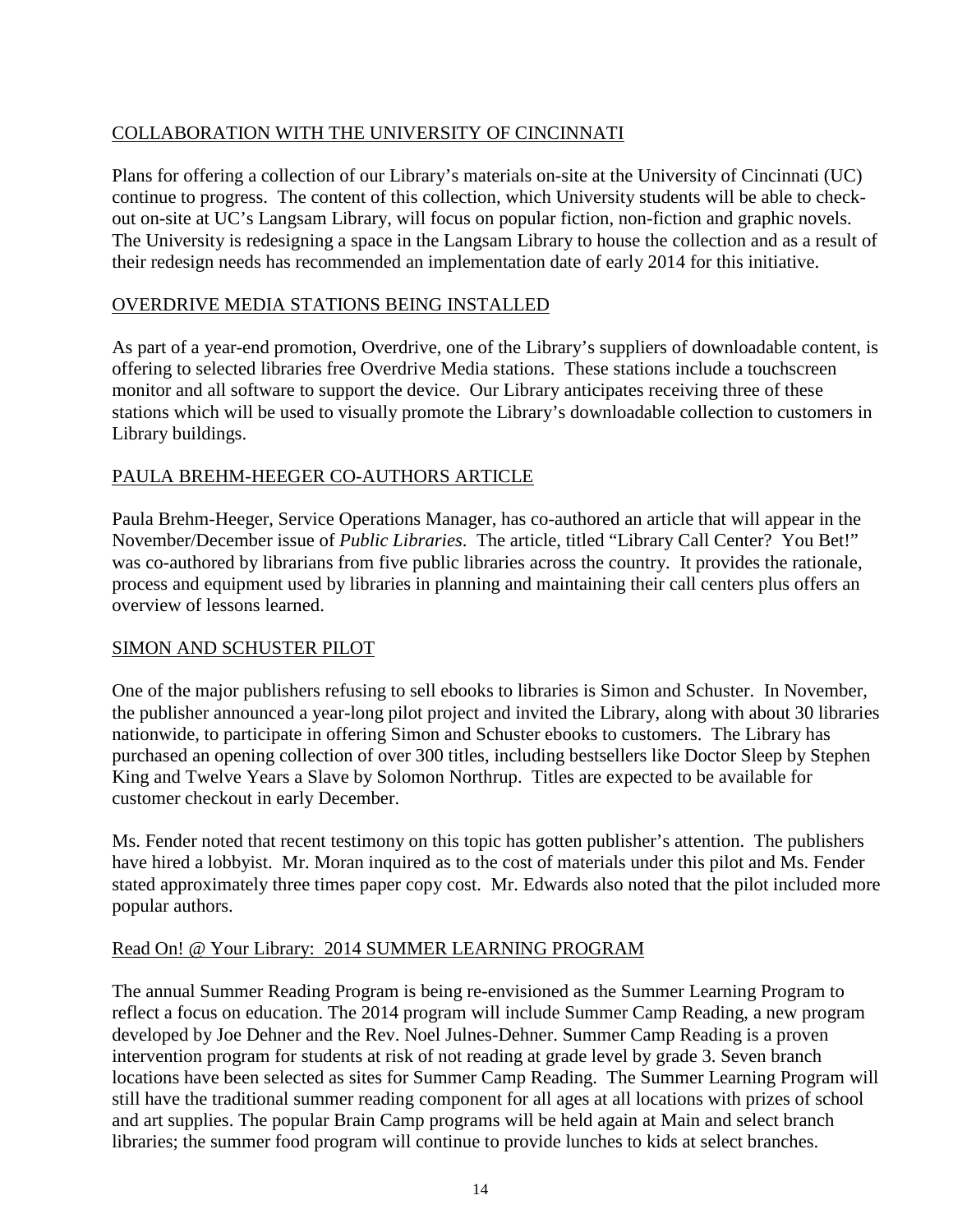# COLLABORATION WITH THE UNIVERSITY OF CINCINNATI

Plans for offering a collection of our Library's materials on-site at the University of Cincinnati (UC) continue to progress. The content of this collection, which University students will be able to checkout on-site at UC's Langsam Library, will focus on popular fiction, non-fiction and graphic novels. The University is redesigning a space in the Langsam Library to house the collection and as a result of their redesign needs has recommended an implementation date of early 2014 for this initiative.

# OVERDRIVE MEDIA STATIONS BEING INSTALLED

As part of a year-end promotion, Overdrive, one of the Library's suppliers of downloadable content, is offering to selected libraries free Overdrive Media stations. These stations include a touchscreen monitor and all software to support the device. Our Library anticipates receiving three of these stations which will be used to visually promote the Library's downloadable collection to customers in Library buildings.

# PAULA BREHM-HEEGER CO-AUTHORS ARTICLE

Paula Brehm-Heeger, Service Operations Manager, has co-authored an article that will appear in the November/December issue of *Public Libraries*. The article, titled "Library Call Center? You Bet!" was co-authored by librarians from five public libraries across the country. It provides the rationale, process and equipment used by libraries in planning and maintaining their call centers plus offers an overview of lessons learned.

# SIMON AND SCHUSTER PILOT

One of the major publishers refusing to sell ebooks to libraries is Simon and Schuster. In November, the publisher announced a year-long pilot project and invited the Library, along with about 30 libraries nationwide, to participate in offering Simon and Schuster ebooks to customers. The Library has purchased an opening collection of over 300 titles, including bestsellers like Doctor Sleep by Stephen King and Twelve Years a Slave by Solomon Northrup. Titles are expected to be available for customer checkout in early December.

Ms. Fender noted that recent testimony on this topic has gotten publisher's attention. The publishers have hired a lobbyist. Mr. Moran inquired as to the cost of materials under this pilot and Ms. Fender stated approximately three times paper copy cost. Mr. Edwards also noted that the pilot included more popular authors.

# Read On! @ Your Library: 2014 SUMMER LEARNING PROGRAM

The annual Summer Reading Program is being re-envisioned as the Summer Learning Program to reflect a focus on education. The 2014 program will include Summer Camp Reading, a new program developed by Joe Dehner and the Rev. Noel Julnes-Dehner. Summer Camp Reading is a proven intervention program for students at risk of not reading at grade level by grade 3. Seven branch locations have been selected as sites for Summer Camp Reading. The Summer Learning Program will still have the traditional summer reading component for all ages at all locations with prizes of school and art supplies. The popular Brain Camp programs will be held again at Main and select branch libraries; the summer food program will continue to provide lunches to kids at select branches.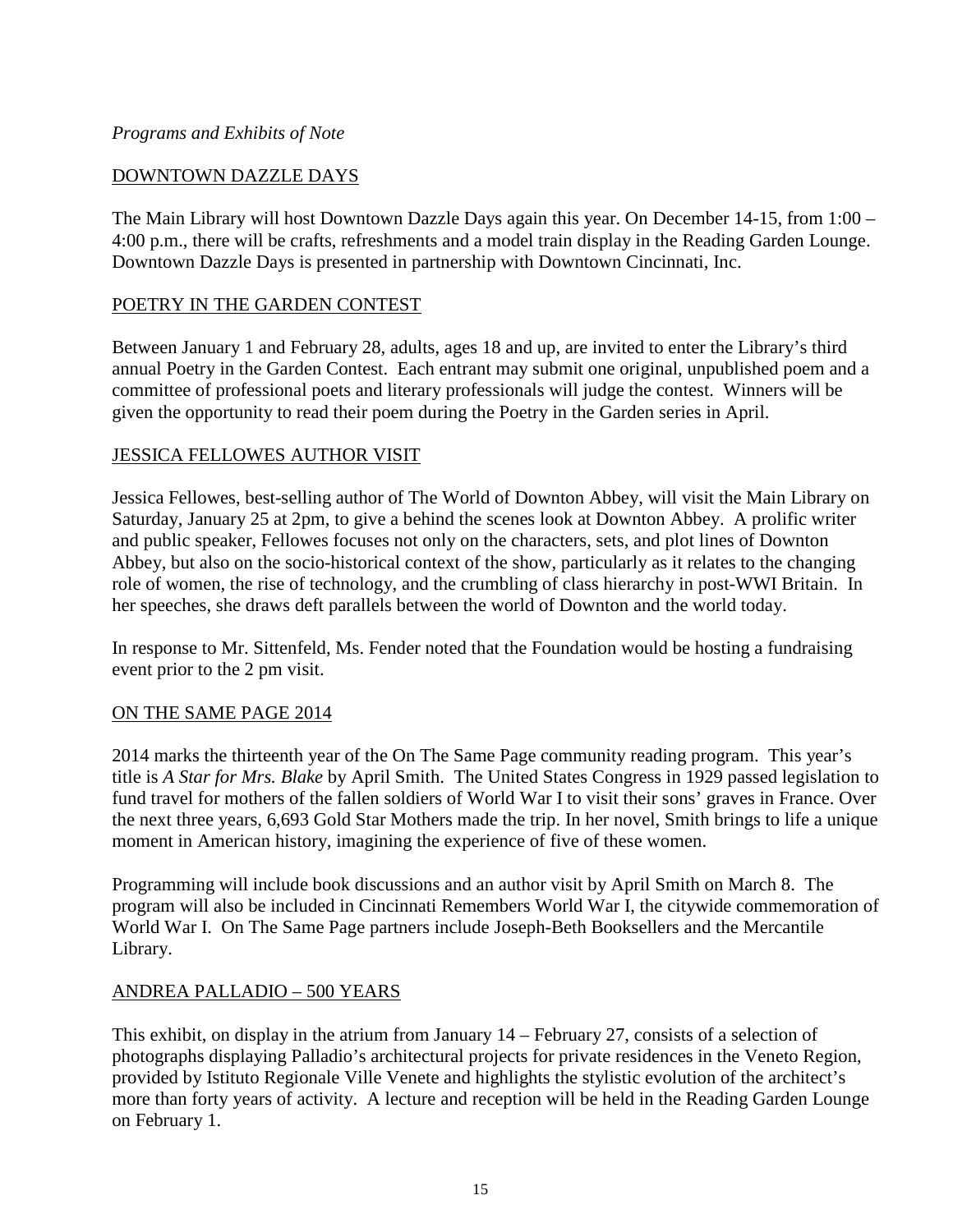## *Programs and Exhibits of Note*

# DOWNTOWN DAZZLE DAYS

The Main Library will host Downtown Dazzle Days again this year. On December 14-15, from 1:00 – 4:00 p.m., there will be crafts, refreshments and a model train display in the Reading Garden Lounge. Downtown Dazzle Days is presented in partnership with Downtown Cincinnati, Inc.

### POETRY IN THE GARDEN CONTEST

Between January 1 and February 28, adults, ages 18 and up, are invited to enter the Library's third annual Poetry in the Garden Contest. Each entrant may submit one original, unpublished poem and a committee of professional poets and literary professionals will judge the contest. Winners will be given the opportunity to read their poem during the Poetry in the Garden series in April.

### JESSICA FELLOWES AUTHOR VISIT

Jessica Fellowes, best-selling author of The World of Downton Abbey, will visit the Main Library on Saturday, January 25 at 2pm, to give a behind the scenes look at Downton Abbey. A prolific writer and public speaker, Fellowes focuses not only on the characters, sets, and plot lines of Downton Abbey, but also on the socio-historical context of the show, particularly as it relates to the changing role of women, the rise of technology, and the crumbling of class hierarchy in post-WWI Britain. In her speeches, she draws deft parallels between the world of Downton and the world today.

In response to Mr. Sittenfeld, Ms. Fender noted that the Foundation would be hosting a fundraising event prior to the 2 pm visit.

### ON THE SAME PAGE 2014

2014 marks the thirteenth year of the On The Same Page community reading program. This year's title is *A Star for Mrs. Blake* by April Smith. The United States Congress in 1929 passed legislation to fund travel for mothers of the fallen soldiers of World War I to visit their sons' graves in France. Over the next three years, 6,693 Gold Star Mothers made the trip. In her novel, Smith brings to life a unique moment in American history, imagining the experience of five of these women.

Programming will include book discussions and an author visit by April Smith on March 8. The program will also be included in Cincinnati Remembers World War I, the citywide commemoration of World War I. On The Same Page partners include Joseph-Beth Booksellers and the Mercantile Library.

### ANDREA PALLADIO – 500 YEARS

This exhibit, on display in the atrium from January 14 – February 27, consists of a selection of photographs displaying Palladio's architectural projects for private residences in the Veneto Region, provided by Istituto Regionale Ville Venete and highlights the stylistic evolution of the architect's more than forty years of activity. A lecture and reception will be held in the Reading Garden Lounge on February 1.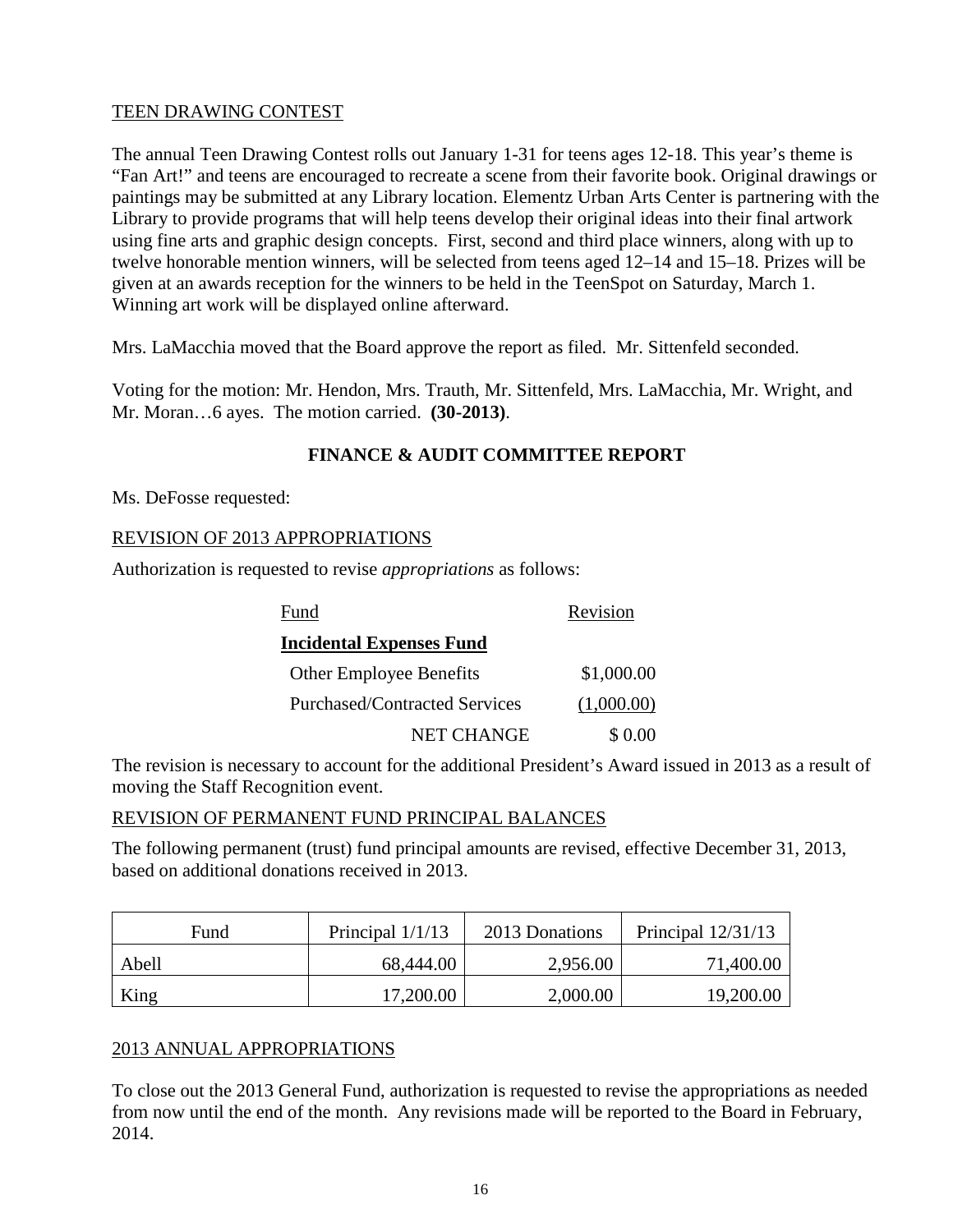# TEEN DRAWING CONTEST

The annual Teen Drawing Contest rolls out January 1-31 for teens ages 12-18. This year's theme is "Fan Art!" and teens are encouraged to recreate a scene from their favorite book. Original drawings or paintings may be submitted at any Library location. Elementz Urban Arts Center is partnering with the Library to provide programs that will help teens develop their original ideas into their final artwork using fine arts and graphic design concepts. First, second and third place winners, along with up to twelve honorable mention winners, will be selected from teens aged 12–14 and 15–18. Prizes will be given at an awards reception for the winners to be held in the TeenSpot on Saturday, March 1. Winning art work will be displayed online afterward.

Mrs. LaMacchia moved that the Board approve the report as filed. Mr. Sittenfeld seconded.

Voting for the motion: Mr. Hendon, Mrs. Trauth, Mr. Sittenfeld, Mrs. LaMacchia, Mr. Wright, and Mr. Moran…6 ayes. The motion carried. **(30-2013)**.

# **FINANCE & AUDIT COMMITTEE REPORT**

Ms. DeFosse requested:

## REVISION OF 2013 APPROPRIATIONS

Authorization is requested to revise *appropriations* as follows:

| Fund                            | Revision   |
|---------------------------------|------------|
| <b>Incidental Expenses Fund</b> |            |
| <b>Other Employee Benefits</b>  | \$1,000.00 |
| Purchased/Contracted Services   | (1,000.00) |
| <b>NET CHANGE</b>               | \$ 0.00    |

The revision is necessary to account for the additional President's Award issued in 2013 as a result of moving the Staff Recognition event.

### REVISION OF PERMANENT FUND PRINCIPAL BALANCES

The following permanent (trust) fund principal amounts are revised, effective December 31, 2013, based on additional donations received in 2013.

| Fund  | Principal $1/1/13$ | 2013 Donations | Principal $12/31/13$ |
|-------|--------------------|----------------|----------------------|
| Abell | 68,444.00          | 2,956.00       | 71,400.00            |
| King  | 17,200.00          | 2,000.00       | 19,200.00            |

# 2013 ANNUAL APPROPRIATIONS

To close out the 2013 General Fund, authorization is requested to revise the appropriations as needed from now until the end of the month. Any revisions made will be reported to the Board in February, 2014.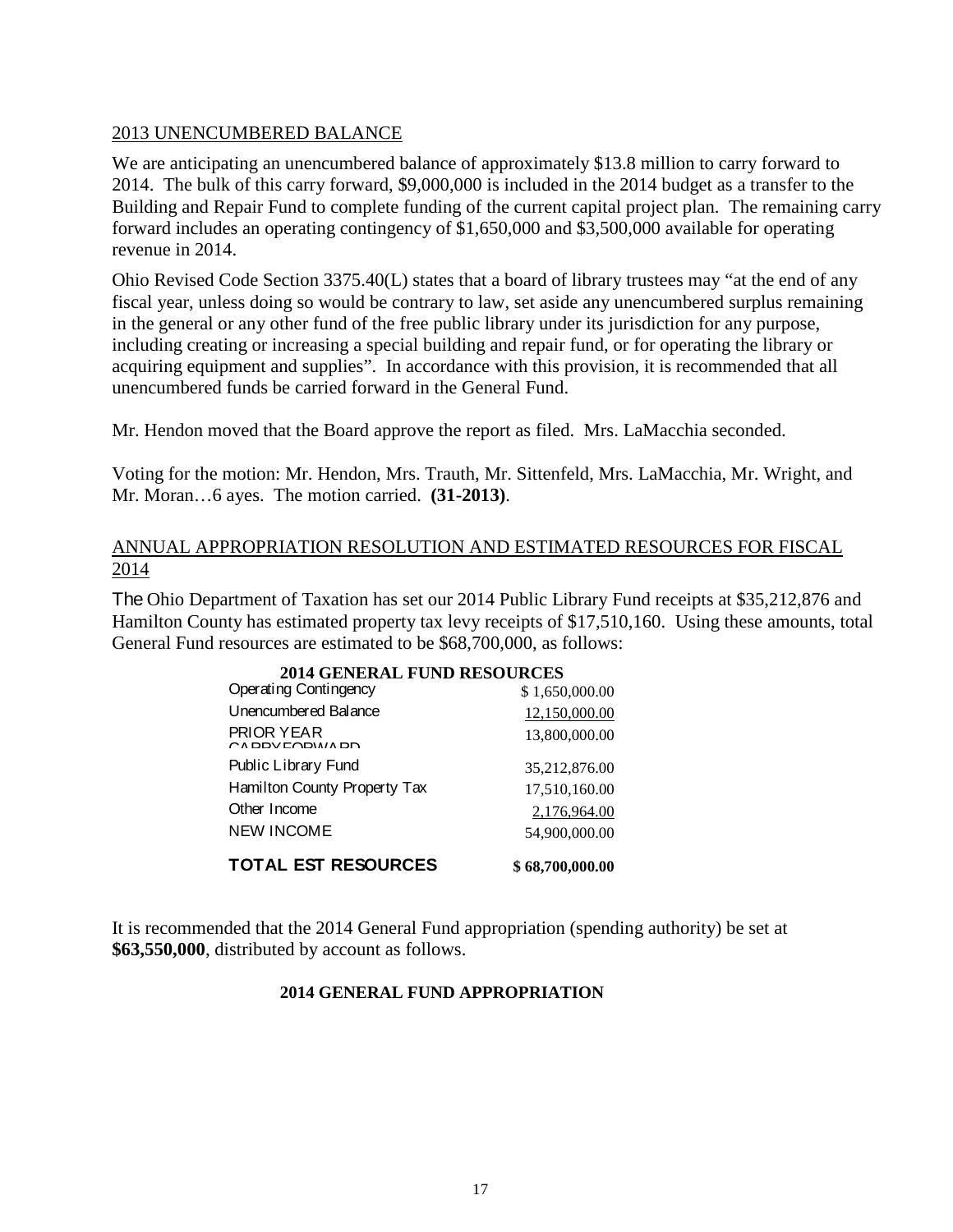## 2013 UNENCUMBERED BALANCE

We are anticipating an unencumbered balance of approximately \$13.8 million to carry forward to 2014. The bulk of this carry forward, \$9,000,000 is included in the 2014 budget as a transfer to the Building and Repair Fund to complete funding of the current capital project plan. The remaining carry forward includes an operating contingency of \$1,650,000 and \$3,500,000 available for operating revenue in 2014.

Ohio Revised Code Section 3375.40(L) states that a board of library trustees may "at the end of any fiscal year, unless doing so would be contrary to law, set aside any unencumbered surplus remaining in the general or any other fund of the free public library under its jurisdiction for any purpose, including creating or increasing a special building and repair fund, or for operating the library or acquiring equipment and supplies". In accordance with this provision, it is recommended that all unencumbered funds be carried forward in the General Fund.

Mr. Hendon moved that the Board approve the report as filed. Mrs. LaMacchia seconded.

Voting for the motion: Mr. Hendon, Mrs. Trauth, Mr. Sittenfeld, Mrs. LaMacchia, Mr. Wright, and Mr. Moran…6 ayes. The motion carried. **(31-2013)**.

### ANNUAL APPROPRIATION RESOLUTION AND ESTIMATED RESOURCES FOR FISCAL 2014

The Ohio Department of Taxation has set our 2014 Public Library Fund receipts at \$35,212,876 and Hamilton County has estimated property tax levy receipts of \$17,510,160. Using these amounts, total General Fund resources are estimated to be \$68,700,000, as follows:

| <b>2014 GENERAL FUND RESOURCES</b> |                 |
|------------------------------------|-----------------|
| <b>Operating Contingency</b>       | \$1,650,000.00  |
| Unencumbered Balance               | 12,150,000.00   |
| PRIOR YEAR<br>CA DDV EODIAIA DD    | 13,800,000.00   |
| Public Library Fund                | 35,212,876.00   |
| Hamilton County Property Tax       | 17,510,160.00   |
| Other Income                       | 2,176,964.00    |
| <b>NEW INCOME</b>                  | 54,900,000.00   |
| <b>TOTAL EST RESOURCES</b>         | \$68,700,000.00 |

It is recommended that the 2014 General Fund appropriation (spending authority) be set at **\$63,550,000**, distributed by account as follows.

### **2014 GENERAL FUND APPROPRIATION**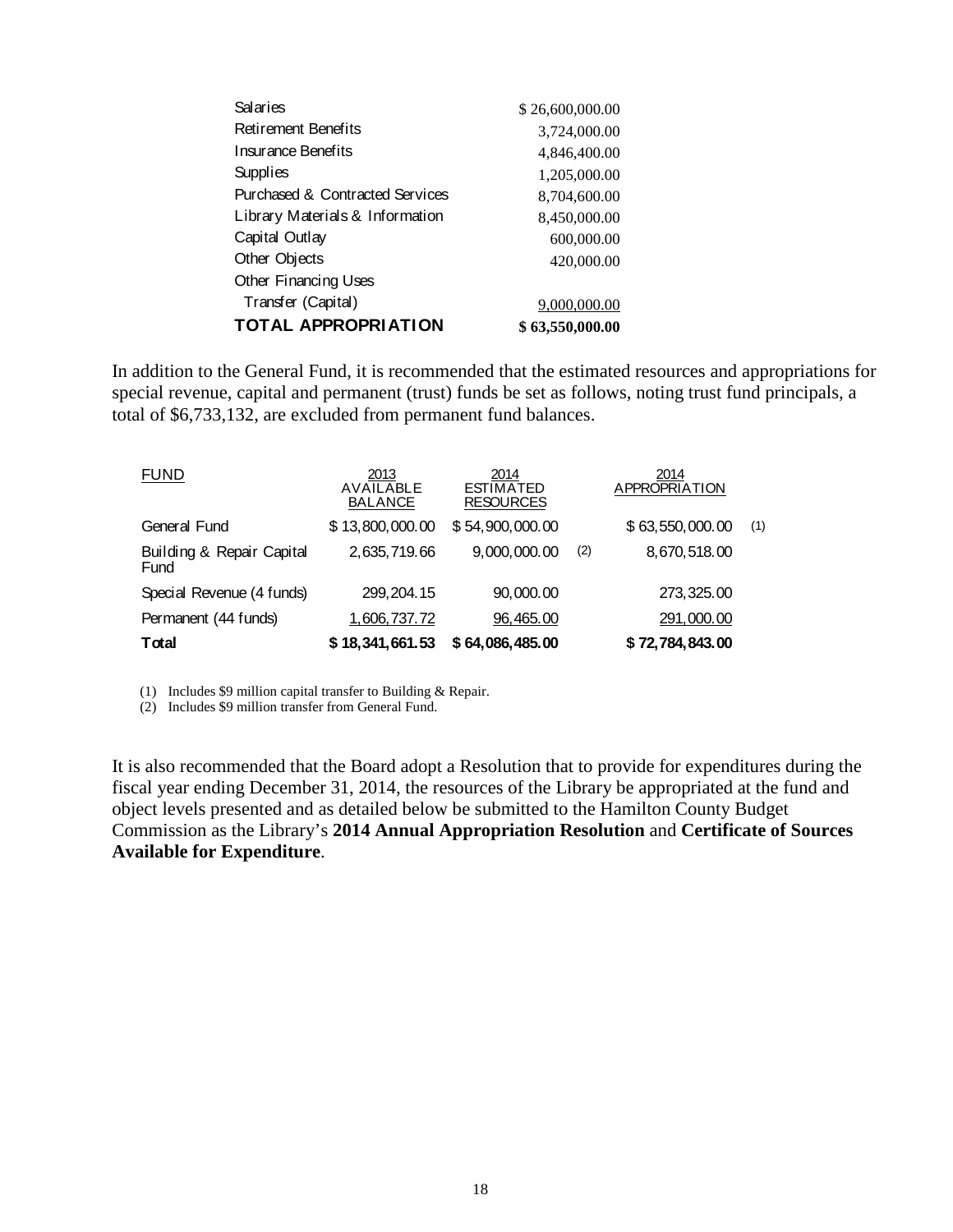| Salaries                        | \$26,600,000.00 |
|---------------------------------|-----------------|
| Retirement Benefits             | 3,724,000.00    |
| Insurance Benefits              | 4,846,400.00    |
| Supplies                        | 1,205,000.00    |
| Purchased & Contracted Services | 8,704,600.00    |
| Library Materials & Information | 8,450,000.00    |
| Capital Outlay                  | 600,000.00      |
| Other Objects                   | 420,000.00      |
| Other Financing Uses            |                 |
| Transfer (Capital)              | 9,000,000.00    |
| <b>TOTAL APPROPRIATION</b>      | \$63,550,000.00 |

In addition to the General Fund, it is recommended that the estimated resources and appropriations for special revenue, capital and permanent (trust) funds be set as follows, noting trust fund principals, a total of \$6,733,132, are excluded from permanent fund balances.

| <b>FUND</b>                       | 2013<br>AVAILABLE<br><b>BALANCE</b> | 2014<br><b>ESTIMATED</b><br><b>RESOURCES</b> |     | 2014<br>APPROPRIATION |     |
|-----------------------------------|-------------------------------------|----------------------------------------------|-----|-----------------------|-----|
| General Fund                      | \$13,800,000.00                     | \$54,900,000.00                              |     | \$63,550,000.00       | (1) |
| Building & Repair Capital<br>Fund | 2,635,719.66                        | 9,000,000.00                                 | (2) | 8,670,518.00          |     |
| Special Revenue (4 funds)         | 299, 204. 15                        | 90,000.00                                    |     | 273, 325.00           |     |
| Permanent (44 funds)              | 1,606,737.72                        | 96, 465, 00                                  |     | 291,000.00            |     |
| Total                             | \$18,341,661.53                     | \$64,086,485.00                              |     | \$72,784,843.00       |     |

(1) Includes \$9 million capital transfer to Building & Repair.

(2) Includes \$9 million transfer from General Fund.

It is also recommended that the Board adopt a Resolution that to provide for expenditures during the fiscal year ending December 31, 2014, the resources of the Library be appropriated at the fund and object levels presented and as detailed below be submitted to the Hamilton County Budget Commission as the Library's **2014 Annual Appropriation Resolution** and **Certificate of Sources Available for Expenditure**.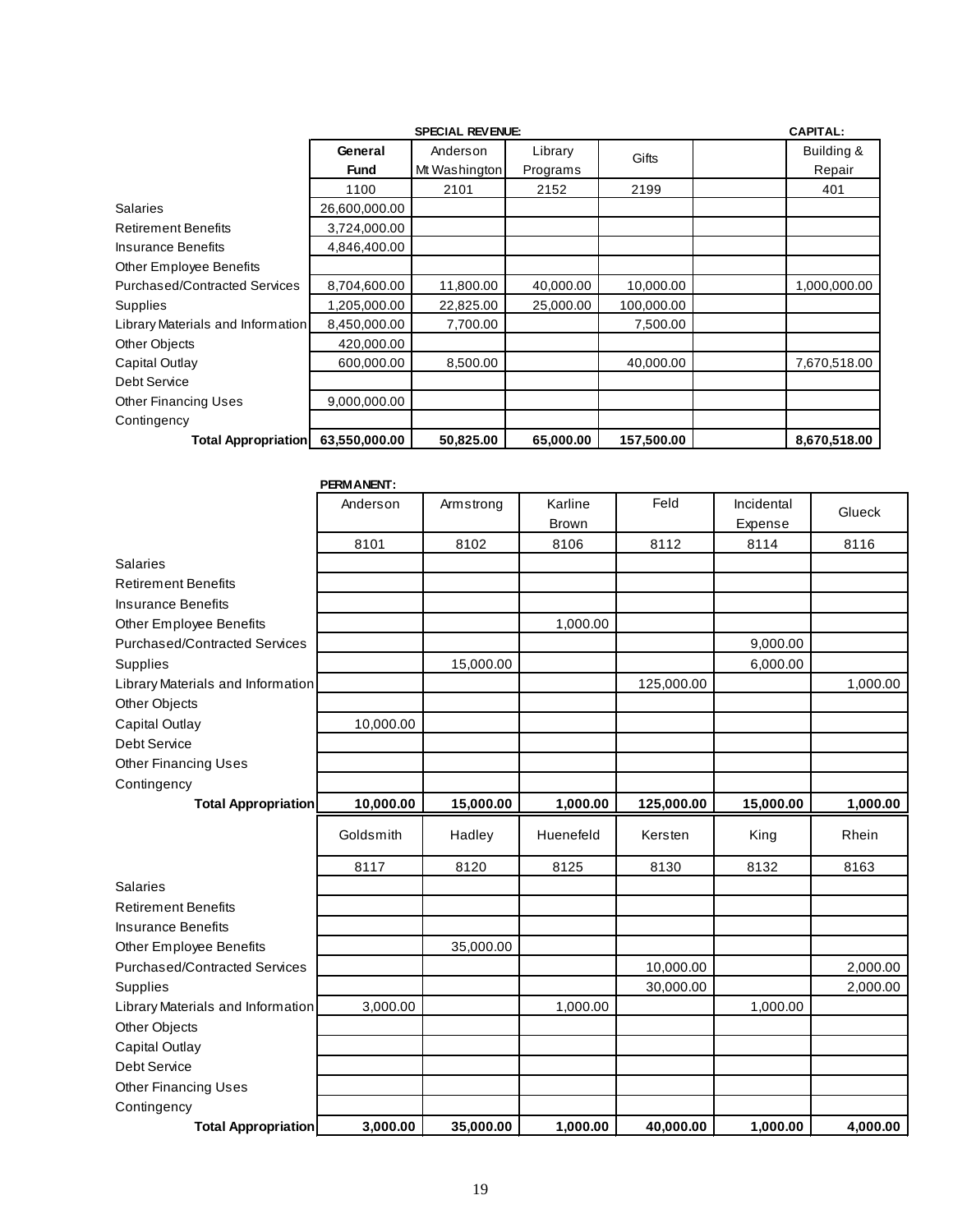|                                      | <b>SPECIAL REVENUE:</b> |               |           |            | <b>CAPITAL:</b> |
|--------------------------------------|-------------------------|---------------|-----------|------------|-----------------|
|                                      | General                 | Anderson      | Library   | Gifts      | Building &      |
|                                      | <b>Fund</b>             | Mt Washington | Programs  |            | Repair          |
|                                      | 1100                    | 2101          | 2152      | 2199       | 401             |
| <b>Salaries</b>                      | 26,600,000.00           |               |           |            |                 |
| <b>Retirement Benefits</b>           | 3,724,000.00            |               |           |            |                 |
| <b>Insurance Benefits</b>            | 4,846,400.00            |               |           |            |                 |
| Other Employee Benefits              |                         |               |           |            |                 |
| <b>Purchased/Contracted Services</b> | 8,704,600.00            | 11,800.00     | 40,000.00 | 10,000.00  | 1,000,000.00    |
| Supplies                             | 1,205,000.00            | 22,825.00     | 25,000.00 | 100,000.00 |                 |
| Library Materials and Information    | 8,450,000.00            | 7,700.00      |           | 7,500.00   |                 |
| Other Objects                        | 420,000.00              |               |           |            |                 |
| Capital Outlay                       | 600,000.00              | 8.500.00      |           | 40,000.00  | 7,670,518.00    |
| Debt Service                         |                         |               |           |            |                 |
| <b>Other Financing Uses</b>          | 9,000,000.00            |               |           |            |                 |
| Contingency                          |                         |               |           |            |                 |
| <b>Total Appropriation</b>           | 63,550,000.00           | 50,825.00     | 65,000.00 | 157,500.00 | 8,670,518.00    |

|                                      | <b>PERMANENT:</b> |           |              |            |            |               |
|--------------------------------------|-------------------|-----------|--------------|------------|------------|---------------|
|                                      | Anderson          | Armstrong | Karline      | Feld       | Incidental | <b>Glueck</b> |
|                                      |                   |           | <b>Brown</b> |            | Expense    |               |
|                                      | 8101              | 8102      | 8106         | 8112       | 8114       | 8116          |
| <b>Salaries</b>                      |                   |           |              |            |            |               |
| <b>Retirement Benefits</b>           |                   |           |              |            |            |               |
| <b>Insurance Benefits</b>            |                   |           |              |            |            |               |
| Other Employee Benefits              |                   |           | 1,000.00     |            |            |               |
| <b>Purchased/Contracted Services</b> |                   |           |              |            | 9,000.00   |               |
| Supplies                             |                   | 15,000.00 |              |            | 6,000.00   |               |
| Library Materials and Information    |                   |           |              | 125,000.00 |            | 1,000.00      |
| Other Objects                        |                   |           |              |            |            |               |
| Capital Outlay                       | 10,000.00         |           |              |            |            |               |
| <b>Debt Service</b>                  |                   |           |              |            |            |               |
| <b>Other Financing Uses</b>          |                   |           |              |            |            |               |
| Contingency                          |                   |           |              |            |            |               |
| <b>Total Appropriation</b>           | 10,000.00         | 15,000.00 | 1,000.00     | 125,000.00 | 15,000.00  | 1,000.00      |
|                                      | Goldsmith         | Hadley    | Huenefeld    | Kersten    | King       | Rhein         |
|                                      | 8117              | 8120      | 8125         | 8130       | 8132       | 8163          |
| <b>Salaries</b>                      |                   |           |              |            |            |               |
| <b>Retirement Benefits</b>           |                   |           |              |            |            |               |
| <b>Insurance Benefits</b>            |                   |           |              |            |            |               |
| Other Employee Benefits              |                   | 35,000.00 |              |            |            |               |
| <b>Purchased/Contracted Services</b> |                   |           |              | 10,000.00  |            | 2,000.00      |
| Supplies                             |                   |           |              | 30,000.00  |            | 2,000.00      |
| Library Materials and Information    | 3,000.00          |           | 1,000.00     |            | 1,000.00   |               |
| Other Objects                        |                   |           |              |            |            |               |
| <b>Capital Outlay</b>                |                   |           |              |            |            |               |
| Debt Service                         |                   |           |              |            |            |               |
| <b>Other Financing Uses</b>          |                   |           |              |            |            |               |
| Contingency                          |                   |           |              |            |            |               |
| <b>Total Appropriation</b>           | 3,000.00          | 35,000.00 | 1,000.00     | 40,000.00  | 1,000.00   | 4,000.00      |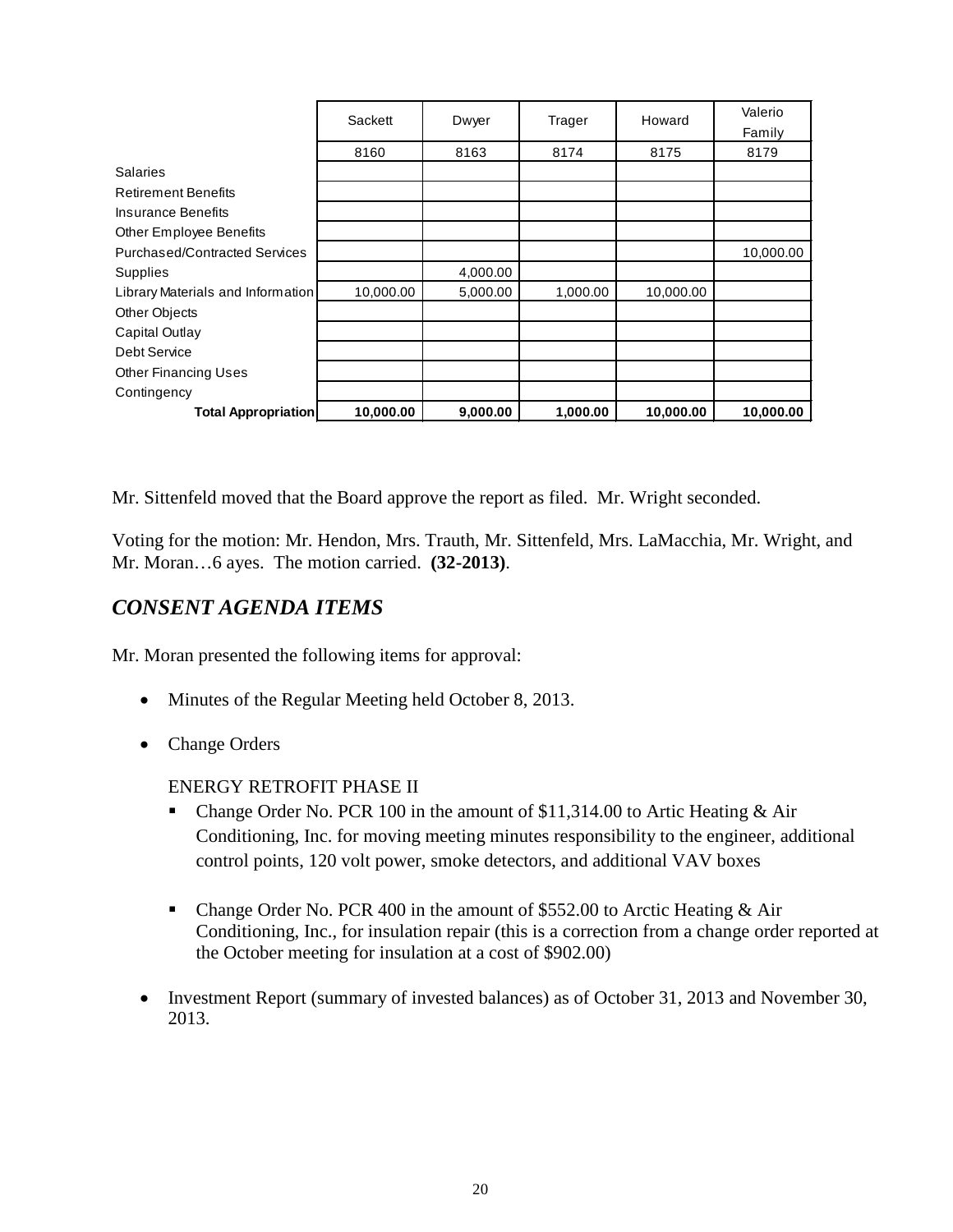|                                      | Sackett   | Dwyer    | Trager   | Howard    | Valerio   |
|--------------------------------------|-----------|----------|----------|-----------|-----------|
|                                      |           |          |          |           | Family    |
|                                      | 8160      | 8163     | 8174     | 8175      | 8179      |
| <b>Salaries</b>                      |           |          |          |           |           |
| <b>Retirement Benefits</b>           |           |          |          |           |           |
| Insurance Benefits                   |           |          |          |           |           |
| Other Employee Benefits              |           |          |          |           |           |
| <b>Purchased/Contracted Services</b> |           |          |          |           | 10,000.00 |
| Supplies                             |           | 4,000.00 |          |           |           |
| Library Materials and Information    | 10,000.00 | 5,000.00 | 1,000.00 | 10,000.00 |           |
| Other Objects                        |           |          |          |           |           |
| Capital Outlay                       |           |          |          |           |           |
| Debt Service                         |           |          |          |           |           |
| <b>Other Financing Uses</b>          |           |          |          |           |           |
| Contingency                          |           |          |          |           |           |
| <b>Total Appropriation</b>           | 10,000.00 | 9,000.00 | 1,000.00 | 10,000.00 | 10,000.00 |

Mr. Sittenfeld moved that the Board approve the report as filed. Mr. Wright seconded.

Voting for the motion: Mr. Hendon, Mrs. Trauth, Mr. Sittenfeld, Mrs. LaMacchia, Mr. Wright, and Mr. Moran…6 ayes. The motion carried. **(32-2013)**.

# *CONSENT AGENDA ITEMS*

Mr. Moran presented the following items for approval:

- Minutes of the Regular Meeting held October 8, 2013.
- Change Orders

# ENERGY RETROFIT PHASE II

- Change Order No. PCR 100 in the amount of \$11,314.00 to Artic Heating  $\&$  Air Conditioning, Inc. for moving meeting minutes responsibility to the engineer, additional control points, 120 volt power, smoke detectors, and additional VAV boxes
- Change Order No. PCR 400 in the amount of \$552.00 to Arctic Heating & Air Conditioning, Inc., for insulation repair (this is a correction from a change order reported at the October meeting for insulation at a cost of \$902.00)
- Investment Report (summary of invested balances) as of October 31, 2013 and November 30, 2013.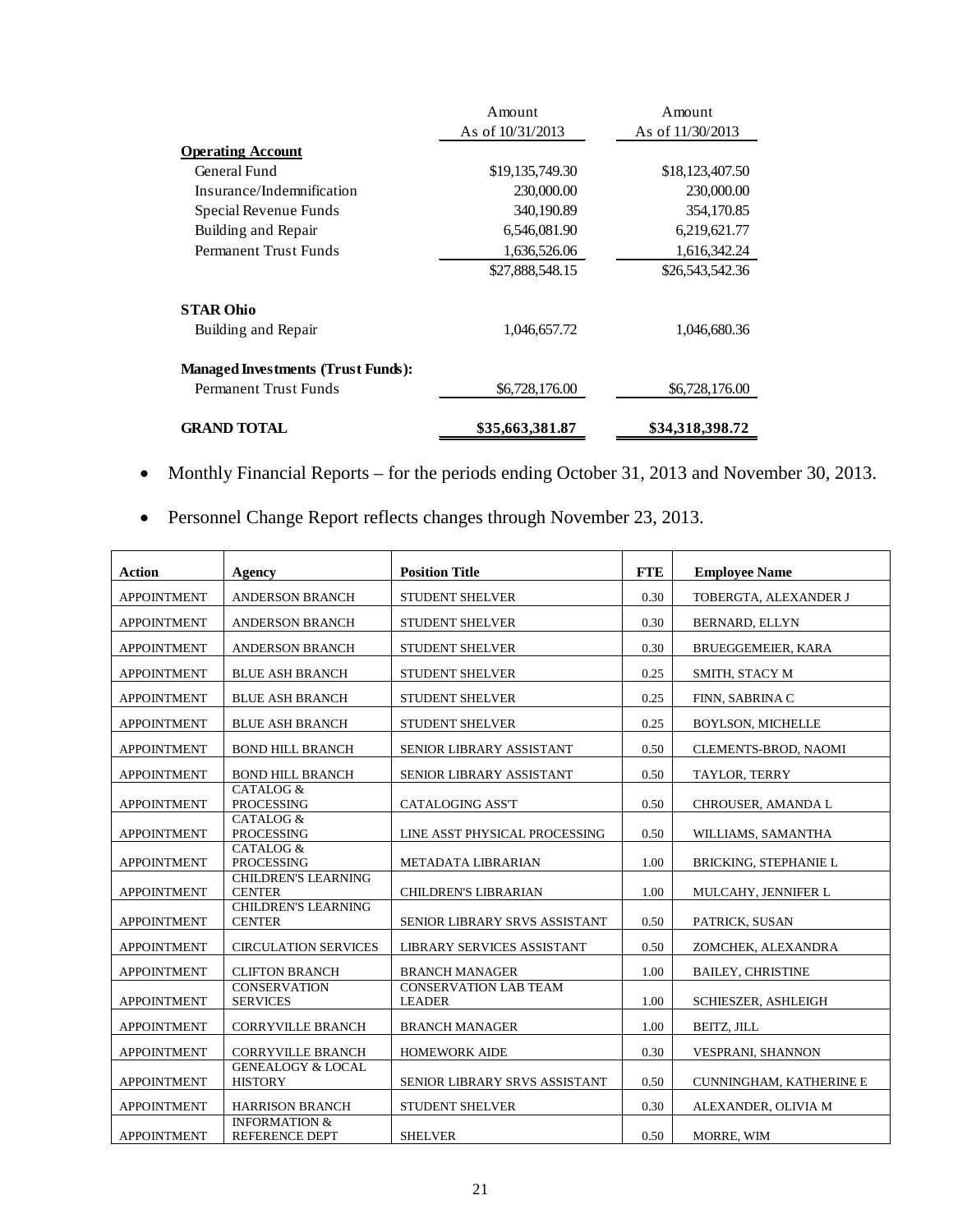|                                           | Amount             | Amount           |
|-------------------------------------------|--------------------|------------------|
|                                           | As of $10/31/2013$ | As of 11/30/2013 |
| <b>Operating Account</b>                  |                    |                  |
| General Fund                              | \$19,135,749.30    | \$18,123,407.50  |
| Insurance/Indemnification                 | 230,000.00         | 230,000.00       |
| Special Revenue Funds                     | 340,190.89         | 354,170.85       |
| Building and Repair                       | 6,546,081.90       | 6,219,621.77     |
| Permanent Trust Funds                     | 1,636,526.06       | 1,616,342.24     |
|                                           | \$27,888,548.15    | \$26,543,542.36  |
| <b>STAR Ohio</b>                          |                    |                  |
| Building and Repair                       | 1,046,657.72       | 1,046,680.36     |
| <b>Managed Investments (Trust Funds):</b> |                    |                  |
| Permanent Trust Funds                     | \$6,728,176.00     | \$6,728,176.00   |
| <b>GRAND TOTAL</b>                        | \$35,663,381.87    | \$34,318,398.72  |

- Monthly Financial Reports for the periods ending October 31, 2013 and November 30, 2013.
- Personnel Change Report reflects changes through November 23, 2013.

| <b>Action</b>      | Agency                                         | <b>Position Title</b>                         | <b>FTE</b> | <b>Employee Name</b>           |
|--------------------|------------------------------------------------|-----------------------------------------------|------------|--------------------------------|
| <b>APPOINTMENT</b> | <b>ANDERSON BRANCH</b>                         | <b>STUDENT SHELVER</b>                        | 0.30       | TOBERGTA, ALEXANDER J          |
| <b>APPOINTMENT</b> | <b>ANDERSON BRANCH</b>                         | <b>STUDENT SHELVER</b>                        | 0.30       | BERNARD, ELLYN                 |
| <b>APPOINTMENT</b> | <b>ANDERSON BRANCH</b>                         | <b>STUDENT SHELVER</b>                        | 0.30       | <b>BRUEGGEMEIER, KARA</b>      |
| <b>APPOINTMENT</b> | <b>BLUE ASH BRANCH</b>                         | <b>STUDENT SHELVER</b>                        | 0.25       | SMITH, STACY M                 |
| <b>APPOINTMENT</b> | <b>BLUE ASH BRANCH</b>                         | <b>STUDENT SHELVER</b>                        | 0.25       | FINN, SABRINA C                |
| <b>APPOINTMENT</b> | <b>BLUE ASH BRANCH</b>                         | <b>STUDENT SHELVER</b>                        | 0.25       | <b>BOYLSON, MICHELLE</b>       |
| <b>APPOINTMENT</b> | <b>BOND HILL BRANCH</b>                        | SENIOR LIBRARY ASSISTANT                      | 0.50       | CLEMENTS-BROD, NAOMI           |
| <b>APPOINTMENT</b> | <b>BOND HILL BRANCH</b>                        | SENIOR LIBRARY ASSISTANT                      | 0.50       | TAYLOR, TERRY                  |
| <b>APPOINTMENT</b> | CATALOG &<br><b>PROCESSING</b>                 | <b>CATALOGING ASS'T</b>                       | 0.50       | CHROUSER, AMANDA L             |
| <b>APPOINTMENT</b> | CATALOG &<br><b>PROCESSING</b>                 | LINE ASST PHYSICAL PROCESSING                 | 0.50       | WILLIAMS, SAMANTHA             |
| <b>APPOINTMENT</b> | <b>CATALOG &amp;</b><br><b>PROCESSING</b>      | <b>METADATA LIBRARIAN</b>                     | 1.00       | <b>BRICKING, STEPHANIE L</b>   |
| <b>APPOINTMENT</b> | <b>CHILDREN'S LEARNING</b><br><b>CENTER</b>    | CHILDREN'S LIBRARIAN                          | 1.00       | MULCAHY, JENNIFER L            |
| <b>APPOINTMENT</b> | <b>CHILDREN'S LEARNING</b><br><b>CENTER</b>    | SENIOR LIBRARY SRVS ASSISTANT                 | 0.50       | PATRICK, SUSAN                 |
| <b>APPOINTMENT</b> | <b>CIRCULATION SERVICES</b>                    | LIBRARY SERVICES ASSISTANT                    | 0.50       | ZOMCHEK, ALEXANDRA             |
| <b>APPOINTMENT</b> | <b>CLIFTON BRANCH</b>                          | <b>BRANCH MANAGER</b>                         | 1.00       | <b>BAILEY, CHRISTINE</b>       |
| <b>APPOINTMENT</b> | <b>CONSERVATION</b><br><b>SERVICES</b>         | <b>CONSERVATION LAB TEAM</b><br><b>LEADER</b> | 1.00       | SCHIESZER, ASHLEIGH            |
| <b>APPOINTMENT</b> | <b>CORRYVILLE BRANCH</b>                       | <b>BRANCH MANAGER</b>                         | 1.00       | BEITZ, JILL                    |
| <b>APPOINTMENT</b> | <b>CORRYVILLE BRANCH</b>                       | <b>HOMEWORK AIDE</b>                          | 0.30       | VESPRANI, SHANNON              |
| <b>APPOINTMENT</b> | <b>GENEALOGY &amp; LOCAL</b><br><b>HISTORY</b> | SENIOR LIBRARY SRVS ASSISTANT                 | 0.50       | <b>CUNNINGHAM, KATHERINE E</b> |
| <b>APPOINTMENT</b> | <b>HARRISON BRANCH</b>                         | <b>STUDENT SHELVER</b>                        | 0.30       | ALEXANDER, OLIVIA M            |
| <b>APPOINTMENT</b> | <b>INFORMATION &amp;</b><br>REFERENCE DEPT     | <b>SHELVER</b>                                | 0.50       | MORRE, WIM                     |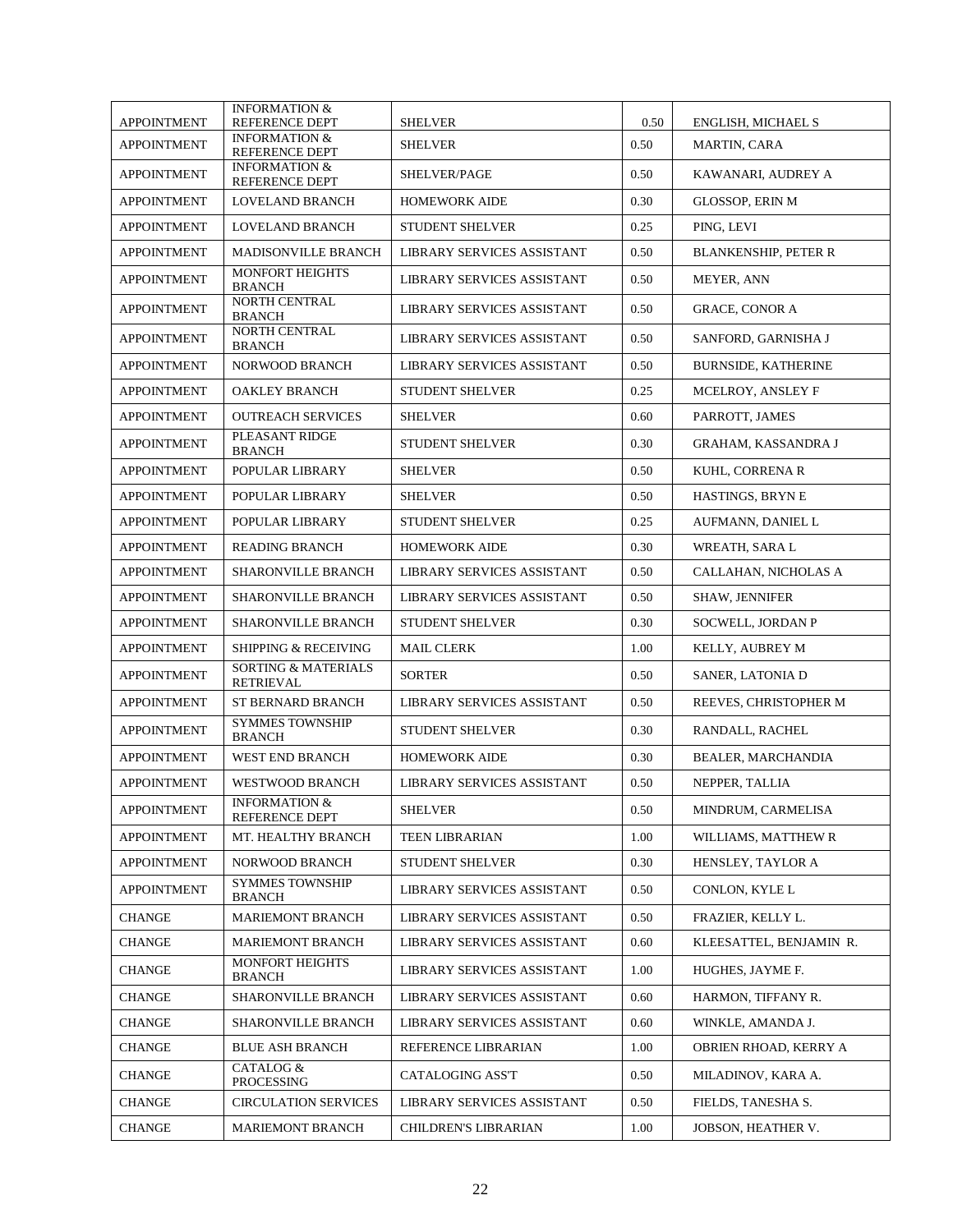|                    | <b>INFORMATION &amp;</b>                           |                            |      |                             |
|--------------------|----------------------------------------------------|----------------------------|------|-----------------------------|
| <b>APPOINTMENT</b> | <b>REFERENCE DEPT</b><br><b>INFORMATION &amp;</b>  | <b>SHELVER</b>             | 0.50 | ENGLISH, MICHAEL S          |
| <b>APPOINTMENT</b> | <b>REFERENCE DEPT</b>                              | <b>SHELVER</b>             | 0.50 | <b>MARTIN, CARA</b>         |
| <b>APPOINTMENT</b> | <b>INFORMATION &amp;</b><br>REFERENCE DEPT         | SHELVER/PAGE               | 0.50 | KAWANARI, AUDREY A          |
| <b>APPOINTMENT</b> | <b>LOVELAND BRANCH</b>                             | <b>HOMEWORK AIDE</b>       | 0.30 | <b>GLOSSOP. ERIN M</b>      |
| <b>APPOINTMENT</b> | <b>LOVELAND BRANCH</b>                             | <b>STUDENT SHELVER</b>     | 0.25 | PING, LEVI                  |
| <b>APPOINTMENT</b> | <b>MADISONVILLE BRANCH</b>                         | LIBRARY SERVICES ASSISTANT | 0.50 | <b>BLANKENSHIP, PETER R</b> |
| <b>APPOINTMENT</b> | <b>MONFORT HEIGHTS</b><br><b>BRANCH</b>            | LIBRARY SERVICES ASSISTANT | 0.50 | <b>MEYER, ANN</b>           |
| <b>APPOINTMENT</b> | NORTH CENTRAL<br><b>BRANCH</b>                     | LIBRARY SERVICES ASSISTANT | 0.50 | <b>GRACE, CONOR A</b>       |
| <b>APPOINTMENT</b> | <b>NORTH CENTRAL</b><br><b>BRANCH</b>              | LIBRARY SERVICES ASSISTANT | 0.50 | SANFORD, GARNISHA J         |
| <b>APPOINTMENT</b> | NORWOOD BRANCH                                     | LIBRARY SERVICES ASSISTANT | 0.50 | <b>BURNSIDE, KATHERINE</b>  |
| <b>APPOINTMENT</b> | <b>OAKLEY BRANCH</b>                               | <b>STUDENT SHELVER</b>     | 0.25 | MCELROY, ANSLEY F           |
| <b>APPOINTMENT</b> | <b>OUTREACH SERVICES</b>                           | <b>SHELVER</b>             | 0.60 | PARROTT, JAMES              |
| <b>APPOINTMENT</b> | PLEASANT RIDGE<br><b>BRANCH</b>                    | <b>STUDENT SHELVER</b>     | 0.30 | <b>GRAHAM, KASSANDRA J</b>  |
| <b>APPOINTMENT</b> | POPULAR LIBRARY                                    | <b>SHELVER</b>             | 0.50 | KUHL, CORRENA R             |
| <b>APPOINTMENT</b> | POPULAR LIBRARY                                    | <b>SHELVER</b>             | 0.50 | HASTINGS, BRYN E            |
| <b>APPOINTMENT</b> | POPULAR LIBRARY                                    | <b>STUDENT SHELVER</b>     | 0.25 | AUFMANN, DANIEL L           |
| <b>APPOINTMENT</b> | <b>READING BRANCH</b>                              | <b>HOMEWORK AIDE</b>       | 0.30 | WREATH, SARA L              |
| <b>APPOINTMENT</b> | <b>SHARONVILLE BRANCH</b>                          | LIBRARY SERVICES ASSISTANT | 0.50 | CALLAHAN, NICHOLAS A        |
| <b>APPOINTMENT</b> | <b>SHARONVILLE BRANCH</b>                          | LIBRARY SERVICES ASSISTANT | 0.50 | <b>SHAW, JENNIFER</b>       |
| <b>APPOINTMENT</b> | <b>SHARONVILLE BRANCH</b>                          | <b>STUDENT SHELVER</b>     | 0.30 | SOCWELL, JORDAN P           |
| <b>APPOINTMENT</b> | <b>SHIPPING &amp; RECEIVING</b>                    | <b>MAIL CLERK</b>          | 1.00 | KELLY, AUBREY M             |
| <b>APPOINTMENT</b> | <b>SORTING &amp; MATERIALS</b><br><b>RETRIEVAL</b> | <b>SORTER</b>              | 0.50 | SANER, LATONIA D            |
| <b>APPOINTMENT</b> | ST BERNARD BRANCH                                  | LIBRARY SERVICES ASSISTANT | 0.50 | REEVES, CHRISTOPHER M       |
| <b>APPOINTMENT</b> | <b>SYMMES TOWNSHIP</b><br><b>BRANCH</b>            | <b>STUDENT SHELVER</b>     | 0.30 | RANDALL, RACHEL             |
| <b>APPOINTMENT</b> | WEST END BRANCH                                    | <b>HOMEWORK AIDE</b>       | 0.30 | <b>BEALER, MARCHANDIA</b>   |
| <b>APPOINTMENT</b> | WESTWOOD BRANCH                                    | LIBRARY SERVICES ASSISTANT | 0.50 | NEPPER, TALLIA              |
| <b>APPOINTMENT</b> | <b>INFORMATION &amp;</b><br>REFERENCE DEPT         | <b>SHELVER</b>             | 0.50 | MINDRUM, CARMELISA          |
| <b>APPOINTMENT</b> | MT. HEALTHY BRANCH                                 | <b>TEEN LIBRARIAN</b>      | 1.00 | WILLIAMS, MATTHEW R         |
| <b>APPOINTMENT</b> | NORWOOD BRANCH                                     | <b>STUDENT SHELVER</b>     | 0.30 | HENSLEY, TAYLOR A           |
| <b>APPOINTMENT</b> | SYMMES TOWNSHIP<br><b>BRANCH</b>                   | LIBRARY SERVICES ASSISTANT | 0.50 | CONLON, KYLE L              |
| <b>CHANGE</b>      | <b>MARIEMONT BRANCH</b>                            | LIBRARY SERVICES ASSISTANT | 0.50 | FRAZIER, KELLY L.           |
| <b>CHANGE</b>      | <b>MARIEMONT BRANCH</b>                            | LIBRARY SERVICES ASSISTANT | 0.60 | KLEESATTEL, BENJAMIN R.     |
| <b>CHANGE</b>      | <b>MONFORT HEIGHTS</b><br><b>BRANCH</b>            | LIBRARY SERVICES ASSISTANT | 1.00 | HUGHES, JAYME F.            |
| <b>CHANGE</b>      | SHARONVILLE BRANCH                                 | LIBRARY SERVICES ASSISTANT | 0.60 | HARMON, TIFFANY R.          |
| <b>CHANGE</b>      | SHARONVILLE BRANCH                                 | LIBRARY SERVICES ASSISTANT | 0.60 | WINKLE, AMANDA J.           |
| <b>CHANGE</b>      | BLUE ASH BRANCH                                    | REFERENCE LIBRARIAN        | 1.00 | OBRIEN RHOAD, KERRY A       |
| CHANGE             | CATALOG &<br>PROCESSING                            | CATALOGING ASS'T           | 0.50 | MILADINOV, KARA A.          |
| <b>CHANGE</b>      | <b>CIRCULATION SERVICES</b>                        | LIBRARY SERVICES ASSISTANT | 0.50 | FIELDS, TANESHA S.          |
| <b>CHANGE</b>      | <b>MARIEMONT BRANCH</b>                            | CHILDREN'S LIBRARIAN       | 1.00 | JOBSON, HEATHER V.          |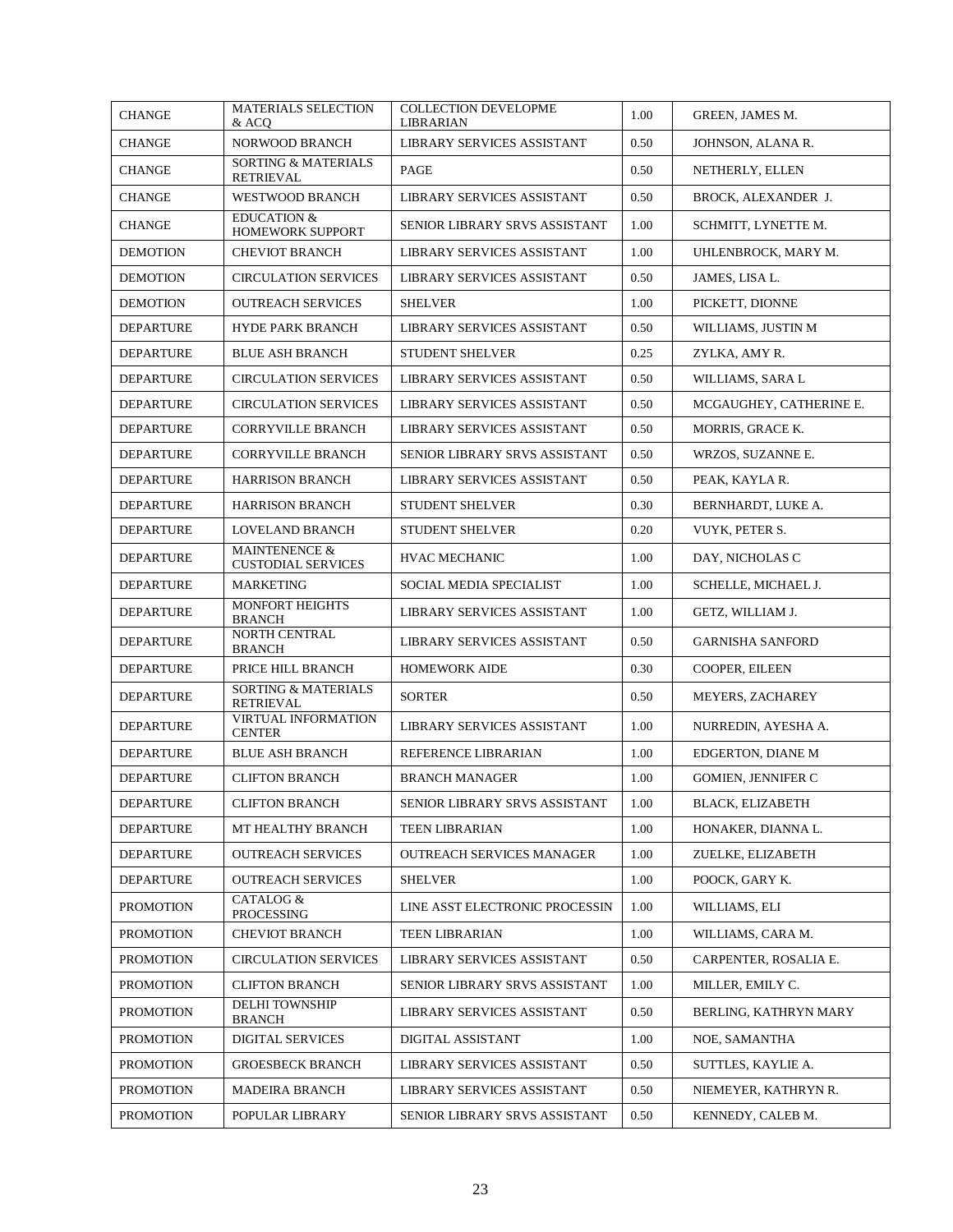| <b>CHANGE</b>    | <b>MATERIALS SELECTION</b><br>& ACO                | <b>COLLECTION DEVELOPME</b><br><b>LIBRARIAN</b> | 1.00 | GREEN, JAMES M.           |
|------------------|----------------------------------------------------|-------------------------------------------------|------|---------------------------|
| <b>CHANGE</b>    | NORWOOD BRANCH                                     | LIBRARY SERVICES ASSISTANT                      | 0.50 | JOHNSON, ALANA R.         |
| <b>CHANGE</b>    | <b>SORTING &amp; MATERIALS</b><br><b>RETRIEVAL</b> | PAGE                                            | 0.50 | NETHERLY, ELLEN           |
| <b>CHANGE</b>    | <b>WESTWOOD BRANCH</b>                             | LIBRARY SERVICES ASSISTANT                      | 0.50 | BROCK, ALEXANDER J.       |
| <b>CHANGE</b>    | <b>EDUCATION &amp;</b><br>HOMEWORK SUPPORT         | SENIOR LIBRARY SRVS ASSISTANT                   | 1.00 | SCHMITT, LYNETTE M.       |
| <b>DEMOTION</b>  | <b>CHEVIOT BRANCH</b>                              | LIBRARY SERVICES ASSISTANT                      | 1.00 | UHLENBROCK, MARY M.       |
| <b>DEMOTION</b>  | <b>CIRCULATION SERVICES</b>                        | LIBRARY SERVICES ASSISTANT                      | 0.50 | JAMES, LISA L.            |
| <b>DEMOTION</b>  | <b>OUTREACH SERVICES</b>                           | <b>SHELVER</b>                                  | 1.00 | PICKETT, DIONNE           |
| DEPARTURE        | <b>HYDE PARK BRANCH</b>                            | LIBRARY SERVICES ASSISTANT                      | 0.50 | WILLIAMS, JUSTIN M        |
| DEPARTURE        | <b>BLUE ASH BRANCH</b>                             | <b>STUDENT SHELVER</b>                          | 0.25 | ZYLKA, AMY R.             |
| DEPARTURE        | <b>CIRCULATION SERVICES</b>                        | LIBRARY SERVICES ASSISTANT                      | 0.50 | WILLIAMS, SARA L          |
| DEPARTURE        | <b>CIRCULATION SERVICES</b>                        | LIBRARY SERVICES ASSISTANT                      | 0.50 | MCGAUGHEY, CATHERINE E.   |
| DEPARTURE        | <b>CORRYVILLE BRANCH</b>                           | LIBRARY SERVICES ASSISTANT                      | 0.50 | MORRIS, GRACE K.          |
| DEPARTURE        | <b>CORRYVILLE BRANCH</b>                           | SENIOR LIBRARY SRVS ASSISTANT                   | 0.50 | WRZOS, SUZANNE E.         |
| <b>DEPARTURE</b> | <b>HARRISON BRANCH</b>                             | <b>LIBRARY SERVICES ASSISTANT</b>               | 0.50 | PEAK, KAYLA R.            |
| DEPARTURE        | <b>HARRISON BRANCH</b>                             | <b>STUDENT SHELVER</b>                          | 0.30 | BERNHARDT, LUKE A.        |
| DEPARTURE        | LOVELAND BRANCH                                    | <b>STUDENT SHELVER</b>                          | 0.20 | VUYK, PETER S.            |
| DEPARTURE        | MAINTENENCE &<br><b>CUSTODIAL SERVICES</b>         | <b>HVAC MECHANIC</b>                            | 1.00 | DAY, NICHOLAS C           |
| DEPARTURE        | <b>MARKETING</b>                                   | SOCIAL MEDIA SPECIALIST                         | 1.00 | SCHELLE, MICHAEL J.       |
| <b>DEPARTURE</b> | <b>MONFORT HEIGHTS</b><br><b>BRANCH</b>            | LIBRARY SERVICES ASSISTANT                      | 1.00 | GETZ, WILLIAM J.          |
| DEPARTURE        | NORTH CENTRAL<br><b>BRANCH</b>                     | LIBRARY SERVICES ASSISTANT                      | 0.50 | <b>GARNISHA SANFORD</b>   |
| DEPARTURE        | PRICE HILL BRANCH                                  | <b>HOMEWORK AIDE</b>                            | 0.30 | COOPER, EILEEN            |
| DEPARTURE        | <b>SORTING &amp; MATERIALS</b><br><b>RETRIEVAL</b> | SORTER                                          | 0.50 | <b>MEYERS, ZACHAREY</b>   |
| DEPARTURE        | <b>VIRTUAL INFORMATION</b><br><b>CENTER</b>        | LIBRARY SERVICES ASSISTANT                      | 1.00 | NURREDIN, AYESHA A.       |
| DEPARTURE        | <b>BLUE ASH BRANCH</b>                             | REFERENCE LIBRARIAN                             | 1.00 | EDGERTON, DIANE M         |
| <b>DEPARTURE</b> | <b>CLIFTON BRANCH</b>                              | <b>BRANCH MANAGER</b>                           | 1.00 | <b>GOMIEN, JENNIFER C</b> |
| <b>DEPARTURE</b> | <b>CLIFTON BRANCH</b>                              | SENIOR LIBRARY SRVS ASSISTANT                   | 1.00 | BLACK, ELIZABETH          |
| DEPARTURE        | MT HEALTHY BRANCH                                  | <b>TEEN LIBRARIAN</b>                           | 1.00 | HONAKER, DIANNA L.        |
| DEPARTURE        | <b>OUTREACH SERVICES</b>                           | <b>OUTREACH SERVICES MANAGER</b>                | 1.00 | ZUELKE, ELIZABETH         |
| DEPARTURE        | <b>OUTREACH SERVICES</b>                           | <b>SHELVER</b>                                  | 1.00 | POOCK, GARY K.            |
| <b>PROMOTION</b> | <b>CATALOG &amp;</b><br>PROCESSING                 | LINE ASST ELECTRONIC PROCESSIN                  | 1.00 | WILLIAMS, ELI             |
| <b>PROMOTION</b> | <b>CHEVIOT BRANCH</b>                              | <b>TEEN LIBRARIAN</b>                           | 1.00 | WILLIAMS, CARA M.         |
| <b>PROMOTION</b> | <b>CIRCULATION SERVICES</b>                        | LIBRARY SERVICES ASSISTANT                      | 0.50 | CARPENTER, ROSALIA E.     |
| <b>PROMOTION</b> | <b>CLIFTON BRANCH</b>                              | SENIOR LIBRARY SRVS ASSISTANT                   | 1.00 | MILLER, EMILY C.          |
| <b>PROMOTION</b> | <b>DELHI TOWNSHIP</b><br><b>BRANCH</b>             | LIBRARY SERVICES ASSISTANT                      | 0.50 | BERLING, KATHRYN MARY     |
| <b>PROMOTION</b> | <b>DIGITAL SERVICES</b>                            | DIGITAL ASSISTANT                               | 1.00 | NOE, SAMANTHA             |
| <b>PROMOTION</b> | <b>GROESBECK BRANCH</b>                            | LIBRARY SERVICES ASSISTANT                      | 0.50 | SUTTLES, KAYLIE A.        |
| <b>PROMOTION</b> | <b>MADEIRA BRANCH</b>                              | LIBRARY SERVICES ASSISTANT                      | 0.50 | NIEMEYER, KATHRYN R.      |
| <b>PROMOTION</b> | POPULAR LIBRARY                                    | SENIOR LIBRARY SRVS ASSISTANT                   | 0.50 | KENNEDY, CALEB M.         |